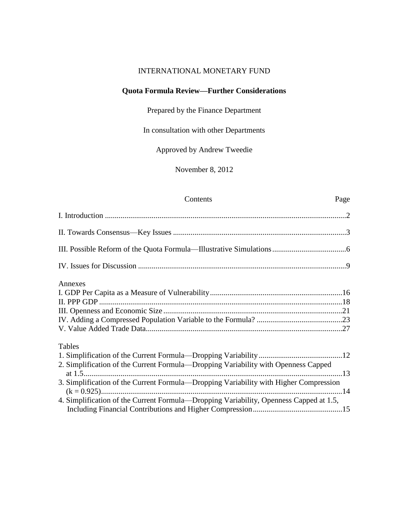## INTERNATIONAL MONETARY FUND

# **Quota Formula Review—Further Considerations**

Prepared by the Finance Department

In consultation with other Departments

Approved by Andrew Tweedie

November 8, 2012

# Contents Page

| Annexes                                                                                |  |
|----------------------------------------------------------------------------------------|--|
|                                                                                        |  |
|                                                                                        |  |
|                                                                                        |  |
|                                                                                        |  |
|                                                                                        |  |
| Tables                                                                                 |  |
|                                                                                        |  |
| 2. Simplification of the Current Formula—Dropping Variability with Openness Capped     |  |
| 3. Simplification of the Current Formula—Dropping Variability with Higher Compression  |  |
| 4. Simplification of the Current Formula—Dropping Variability, Openness Capped at 1.5, |  |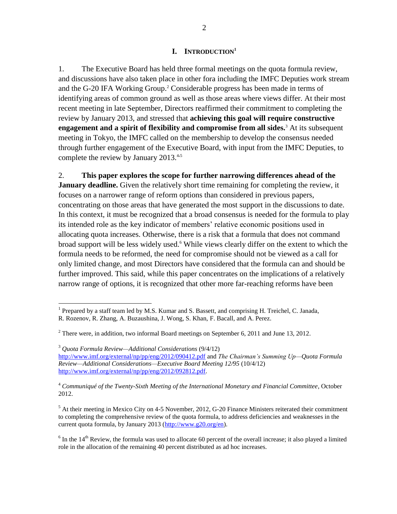### **I. INTRODUCTION<sup>1</sup>**

1. The Executive Board has held three formal meetings on the quota formula review, and discussions have also taken place in other fora including the IMFC Deputies work stream and the G-20 IFA Working Group. <sup>2</sup> Considerable progress has been made in terms of identifying areas of common ground as well as those areas where views differ. At their most recent meeting in late September, Directors reaffirmed their commitment to completing the review by January 2013, and stressed that **achieving this goal will require constructive engagement and a spirit of flexibility and compromise from all sides.**<sup>3</sup> At its subsequent meeting in Tokyo, the IMFC called on the membership to develop the consensus needed through further engagement of the Executive Board, with input from the IMFC Deputies, to complete the review by January 2013.<sup>4,5</sup>

2. **This paper explores the scope for further narrowing differences ahead of the January deadline.** Given the relatively short time remaining for completing the review, it focuses on a narrower range of reform options than considered in previous papers, concentrating on those areas that have generated the most support in the discussions to date. In this context, it must be recognized that a broad consensus is needed for the formula to play its intended role as the key indicator of members' relative economic positions used in allocating quota increases. Otherwise, there is a risk that a formula that does not command broad support will be less widely used.<sup>6</sup> While views clearly differ on the extent to which the formula needs to be reformed, the need for compromise should not be viewed as a call for only limited change, and most Directors have considered that the formula can and should be further improved. This said, while this paper concentrates on the implications of a relatively narrow range of options, it is recognized that other more far-reaching reforms have been

<sup>3</sup> *Quota Formula Review—Additional Considerations* (9/4/12) <http://www.imf.org/external/np/pp/eng/2012/090412.pdf> and *The Chairman's Summing Up—Quota Formula Review—Additional Considerations—Executive Board Meeting 12/95* (10/4/12) [http://www.imf.org/external/np/pp/eng/2012/092812.pdf.](http://www.imf.org/external/np/pp/eng/2012/092812.pdf)

<sup>4</sup> *Communiqué of the Twenty-Sixth Meeting of the International Monetary and Financial Committee*, October 2012.

 $<sup>5</sup>$  At their meeting in Mexico City on 4-5 November, 2012, G-20 Finance Ministers reiterated their commitment</sup> to completing the comprehensive review of the quota formula, to address deficiencies and weaknesses in the current quota formula, by January 2013 [\(http://www.g20.org/en\)](http://www.g20.org/en).

 $6$  In the 14<sup>th</sup> Review, the formula was used to allocate 60 percent of the overall increase; it also played a limited role in the allocation of the remaining 40 percent distributed as ad hoc increases.

<sup>&</sup>lt;sup>1</sup> Prepared by a staff team led by M.S. Kumar and S. Bassett, and comprising H. Treichel, C. Janada, R. Rozenov, R. Zhang, A. Buzaushina, J. Wong, S. Khan, F. Bacall, and A. Perez.

 $2$  There were, in addition, two informal Board meetings on September 6, 2011 and June 13, 2012.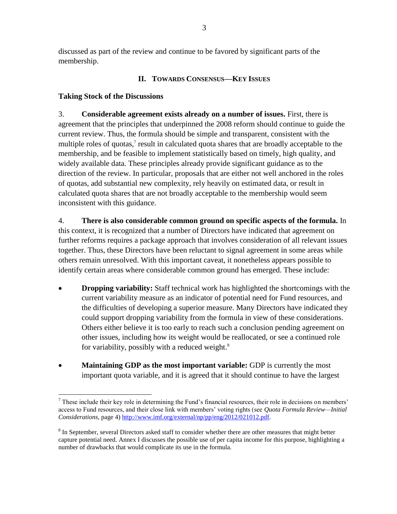discussed as part of the review and continue to be favored by significant parts of the membership.

## **II. TOWARDS CONSENSUS—KEY ISSUES**

## **Taking Stock of the Discussions**

3. **Considerable agreement exists already on a number of issues.** First, there is agreement that the principles that underpinned the 2008 reform should continue to guide the current review. Thus, the formula should be simple and transparent, consistent with the multiple roles of quotas, $\lambda$  result in calculated quota shares that are broadly acceptable to the membership, and be feasible to implement statistically based on timely, high quality, and widely available data. These principles already provide significant guidance as to the direction of the review. In particular, proposals that are either not well anchored in the roles of quotas, add substantial new complexity, rely heavily on estimated data, or result in calculated quota shares that are not broadly acceptable to the membership would seem inconsistent with this guidance.

4. **There is also considerable common ground on specific aspects of the formula.** In this context, it is recognized that a number of Directors have indicated that agreement on further reforms requires a package approach that involves consideration of all relevant issues together. Thus, these Directors have been reluctant to signal agreement in some areas while others remain unresolved. With this important caveat, it nonetheless appears possible to identify certain areas where considerable common ground has emerged. These include:

- **Dropping variability:** Staff technical work has highlighted the shortcomings with the current variability measure as an indicator of potential need for Fund resources, and the difficulties of developing a superior measure. Many Directors have indicated they could support dropping variability from the formula in view of these considerations. Others either believe it is too early to reach such a conclusion pending agreement on other issues, including how its weight would be reallocated, or see a continued role for variability, possibly with a reduced weight. $8$
- **Maintaining GDP as the most important variable:** GDP is currently the most important quota variable, and it is agreed that it should continue to have the largest

 $\overline{a}$  $<sup>7</sup>$  These include their key role in determining the Fund's financial resources, their role in decisions on members'</sup> access to Fund resources, and their close link with members' voting rights (see *Quota Formula Review—Initial Considerations*, page 4) [http://www.imf.org/external/np/pp/eng/2012/021012.pdf.](http://www.imf.org/external/np/pp/eng/2012/021012.pdf)

<sup>&</sup>lt;sup>8</sup> In September, several Directors asked staff to consider whether there are other measures that might better capture potential need. Annex I discusses the possible use of per capita income for this purpose, highlighting a number of drawbacks that would complicate its use in the formula.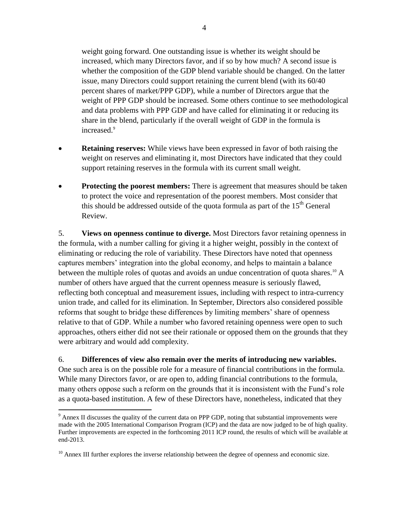weight going forward. One outstanding issue is whether its weight should be increased, which many Directors favor, and if so by how much? A second issue is whether the composition of the GDP blend variable should be changed. On the latter issue, many Directors could support retaining the current blend (with its 60/40 percent shares of market/PPP GDP), while a number of Directors argue that the weight of PPP GDP should be increased. Some others continue to see methodological and data problems with PPP GDP and have called for eliminating it or reducing its share in the blend, particularly if the overall weight of GDP in the formula is increased.<sup>9</sup>

- **Retaining reserves:** While views have been expressed in favor of both raising the weight on reserves and eliminating it, most Directors have indicated that they could support retaining reserves in the formula with its current small weight.
- **Protecting the poorest members:** There is agreement that measures should be taken to protect the voice and representation of the poorest members. Most consider that this should be addressed outside of the quota formula as part of the  $15<sup>th</sup>$  General Review.

5. **Views on openness continue to diverge.** Most Directors favor retaining openness in the formula, with a number calling for giving it a higher weight, possibly in the context of eliminating or reducing the role of variability. These Directors have noted that openness captures members' integration into the global economy, and helps to maintain a balance between the multiple roles of quotas and avoids an undue concentration of quota shares.<sup>10</sup> A number of others have argued that the current openness measure is seriously flawed, reflecting both conceptual and measurement issues, including with respect to intra-currency union trade, and called for its elimination. In September, Directors also considered possible reforms that sought to bridge these differences by limiting members' share of openness relative to that of GDP. While a number who favored retaining openness were open to such approaches, others either did not see their rationale or opposed them on the grounds that they were arbitrary and would add complexity.

6. **Differences of view also remain over the merits of introducing new variables.** One such area is on the possible role for a measure of financial contributions in the formula. While many Directors favor, or are open to, adding financial contributions to the formula, many others oppose such a reform on the grounds that it is inconsistent with the Fund's role as a quota-based institution. A few of these Directors have, nonetheless, indicated that they

 $9$  Annex II discusses the quality of the current data on PPP GDP, noting that substantial improvements were made with the 2005 International Comparison Program (ICP) and the data are now judged to be of high quality. Further improvements are expected in the forthcoming 2011 ICP round, the results of which will be available at end-2013.

 $10$  Annex III further explores the inverse relationship between the degree of openness and economic size.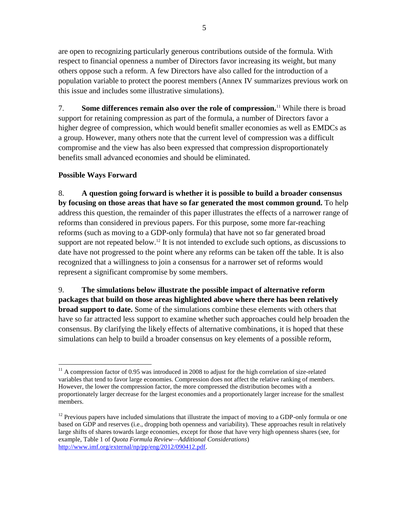are open to recognizing particularly generous contributions outside of the formula. With respect to financial openness a number of Directors favor increasing its weight, but many others oppose such a reform. A few Directors have also called for the introduction of a population variable to protect the poorest members (Annex IV summarizes previous work on this issue and includes some illustrative simulations).

7. **Some differences remain also over the role of compression.**<sup>11</sup> While there is broad support for retaining compression as part of the formula, a number of Directors favor a higher degree of compression, which would benefit smaller economies as well as EMDCs as a group. However, many others note that the current level of compression was a difficult compromise and the view has also been expressed that compression disproportionately benefits small advanced economies and should be eliminated.

## **Possible Ways Forward**

8. **A question going forward is whether it is possible to build a broader consensus by focusing on those areas that have so far generated the most common ground.** To help address this question, the remainder of this paper illustrates the effects of a narrower range of reforms than considered in previous papers. For this purpose, some more far-reaching reforms (such as moving to a GDP-only formula) that have not so far generated broad support are not repeated below.<sup>12</sup> It is not intended to exclude such options, as discussions to date have not progressed to the point where any reforms can be taken off the table. It is also recognized that a willingness to join a consensus for a narrower set of reforms would represent a significant compromise by some members.

9. **The simulations below illustrate the possible impact of alternative reform packages that build on those areas highlighted above where there has been relatively broad support to date.** Some of the simulations combine these elements with others that have so far attracted less support to examine whether such approaches could help broaden the consensus. By clarifying the likely effects of alternative combinations, it is hoped that these simulations can help to build a broader consensus on key elements of a possible reform,

 $\overline{a}$  $11$  A compression factor of 0.95 was introduced in 2008 to adjust for the high correlation of size-related variables that tend to favor large economies. Compression does not affect the relative ranking of members. However, the lower the compression factor, the more compressed the distribution becomes with a proportionately larger decrease for the largest economies and a proportionately larger increase for the smallest members.

<sup>&</sup>lt;sup>12</sup> Previous papers have included simulations that illustrate the impact of moving to a GDP-only formula or one based on GDP and reserves (i.e., dropping both openness and variability). These approaches result in relatively large shifts of shares towards large economies, except for those that have very high openness shares (see, for example, Table 1 of *Quota Formula Review—Additional Considerations*) [http://www.imf.org/external/np/pp/eng/2012/090412.pdf.](http://www.imf.org/external/np/pp/eng/2012/090412.pdf)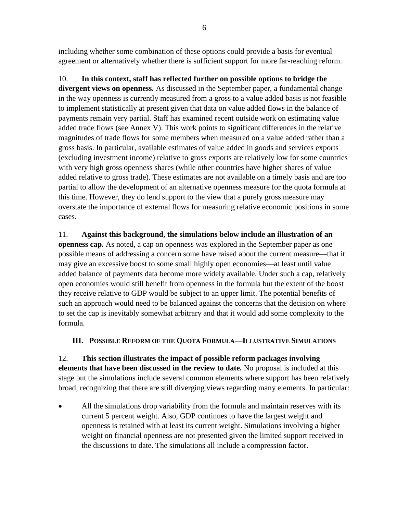including whether some combination of these options could provide a basis for eventual agreement or alternatively whether there is sufficient support for more far-reaching reform.

10. **In this context, staff has reflected further on possible options to bridge the divergent views on openness.** As discussed in the September paper, a fundamental change in the way openness is currently measured from a gross to a value added basis is not feasible to implement statistically at present given that data on value added flows in the balance of payments remain very partial. Staff has examined recent outside work on estimating value added trade flows (see Annex V). This work points to significant differences in the relative magnitudes of trade flows for some members when measured on a value added rather than a gross basis. In particular, available estimates of value added in goods and services exports (excluding investment income) relative to gross exports are relatively low for some countries with very high gross openness shares (while other countries have higher shares of value added relative to gross trade). These estimates are not available on a timely basis and are too partial to allow the development of an alternative openness measure for the quota formula at this time. However, they do lend support to the view that a purely gross measure may overstate the importance of external flows for measuring relative economic positions in some cases.

11. **Against this background, the simulations below include an illustration of an openness cap.** As noted, a cap on openness was explored in the September paper as one possible means of addressing a concern some have raised about the current measure—that it may give an excessive boost to some small highly open economies—at least until value added balance of payments data become more widely available. Under such a cap, relatively open economies would still benefit from openness in the formula but the extent of the boost they receive relative to GDP would be subject to an upper limit. The potential benefits of such an approach would need to be balanced against the concerns that the decision on where to set the cap is inevitably somewhat arbitrary and that it would add some complexity to the formula.

## **III. POSSIBLE REFORM OF THE QUOTA FORMULA—ILLUSTRATIVE SIMULATIONS**

12. **This section illustrates the impact of possible reform packages involving elements that have been discussed in the review to date.** No proposal is included at this stage but the simulations include several common elements where support has been relatively broad, recognizing that there are still diverging views regarding many elements. In particular:

 All the simulations drop variability from the formula and maintain reserves with its current 5 percent weight. Also, GDP continues to have the largest weight and openness is retained with at least its current weight. Simulations involving a higher weight on financial openness are not presented given the limited support received in the discussions to date. The simulations all include a compression factor.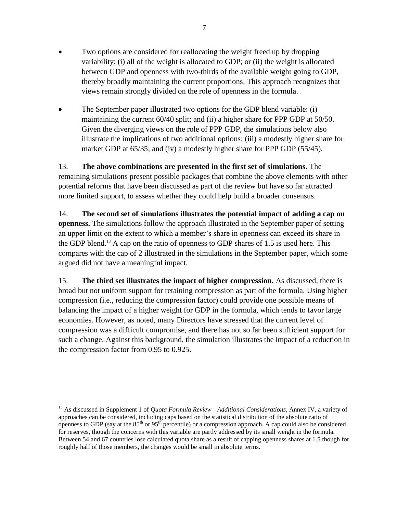- Two options are considered for reallocating the weight freed up by dropping variability: (i) all of the weight is allocated to GDP; or (ii) the weight is allocated between GDP and openness with two-thirds of the available weight going to GDP, thereby broadly maintaining the current proportions. This approach recognizes that views remain strongly divided on the role of openness in the formula.
- The September paper illustrated two options for the GDP blend variable: (i) maintaining the current 60/40 split; and (ii) a higher share for PPP GDP at 50/50. Given the diverging views on the role of PPP GDP, the simulations below also illustrate the implications of two additional options: (iii) a modestly higher share for market GDP at 65/35; and (iv) a modestly higher share for PPP GDP (55/45).

13. **The above combinations are presented in the first set of simulations.** The remaining simulations present possible packages that combine the above elements with other potential reforms that have been discussed as part of the review but have so far attracted more limited support, to assess whether they could help build a broader consensus.

14. **The second set of simulations illustrates the potential impact of adding a cap on openness.** The simulations follow the approach illustrated in the September paper of setting an upper limit on the extent to which a member's share in openness can exceed its share in the GDP blend.<sup>13</sup> A cap on the ratio of openness to GDP shares of 1.5 is used here. This compares with the cap of 2 illustrated in the simulations in the September paper, which some argued did not have a meaningful impact.

15. **The third set illustrates the impact of higher compression.** As discussed, there is broad but not uniform support for retaining compression as part of the formula. Using higher compression (i.e., reducing the compression factor) could provide one possible means of balancing the impact of a higher weight for GDP in the formula, which tends to favor large economies. However, as noted, many Directors have stressed that the current level of compression was a difficult compromise, and there has not so far been sufficient support for such a change. Against this background, the simulation illustrates the impact of a reduction in the compression factor from 0.95 to 0.925.

<sup>13</sup> As discussed in Supplement 1 of *Quota Formula Review—Additional Considerations*, Annex IV, a variety of approaches can be considered, including caps based on the statistical distribution of the absolute ratio of openness to GDP (say at the  $85<sup>th</sup>$  or  $95<sup>th</sup>$  percentile) or a compression approach. A cap could also be considered for reserves, though the concerns with this variable are partly addressed by its small weight in the formula. Between 54 and 67 countries lose calculated quota share as a result of capping openness shares at 1.5 though for roughly half of those members, the changes would be small in absolute terms.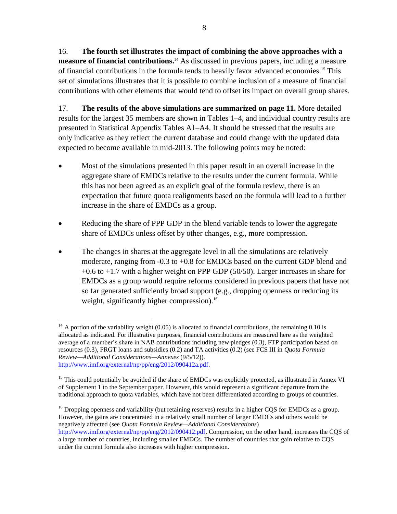16. **The fourth set illustrates the impact of combining the above approaches with a measure of financial contributions.** <sup>14</sup> As discussed in previous papers, including a measure of financial contributions in the formula tends to heavily favor advanced economies.<sup>15</sup> This set of simulations illustrates that it is possible to combine inclusion of a measure of financial contributions with other elements that would tend to offset its impact on overall group shares.

17. **The results of the above simulations are summarized on page 11.** More detailed results for the largest 35 members are shown in Tables 1–4, and individual country results are presented in Statistical Appendix Tables A1–A4. It should be stressed that the results are only indicative as they reflect the current database and could change with the updated data expected to become available in mid-2013. The following points may be noted:

- Most of the simulations presented in this paper result in an overall increase in the aggregate share of EMDCs relative to the results under the current formula. While this has not been agreed as an explicit goal of the formula review, there is an expectation that future quota realignments based on the formula will lead to a further increase in the share of EMDCs as a group.
- Reducing the share of PPP GDP in the blend variable tends to lower the aggregate share of EMDCs unless offset by other changes, e.g., more compression.
- The changes in shares at the aggregate level in all the simulations are relatively moderate, ranging from -0.3 to +0.8 for EMDCs based on the current GDP blend and +0.6 to +1.7 with a higher weight on PPP GDP (50/50). Larger increases in share for EMDCs as a group would require reforms considered in previous papers that have not so far generated sufficiently broad support (e.g., dropping openness or reducing its weight, significantly higher compression).<sup>16</sup>

 $16$  Dropping openness and variability (but retaining reserves) results in a higher CQS for EMDCs as a group. However, the gains are concentrated in a relatively small number of larger EMDCs and others would be negatively affected (see *Quota Formula Review—Additional Considerations*) [http://www.imf.org/external/np/pp/eng/2012/090412.pdf.](http://www.imf.org/external/np/pp/eng/2012/090412.pdf) Compression, on the other hand, increases the CQS of

 $\overline{a}$  $14$  A portion of the variability weight (0.05) is allocated to financial contributions, the remaining 0.10 is allocated as indicated. For illustrative purposes, financial contributions are measured here as the weighted average of a member's share in NAB contributions including new pledges (0.3), FTP participation based on resources (0.3), PRGT loans and subsidies (0.2) and TA activities (0.2) (see FCS III in *Quota Formula Review—Additional Considerations—Annexes* (9/5/12)). [http://www.imf.org/external/np/pp/eng/2012/090412a.pdf.](http://www.imf.org/external/np/pp/eng/2012/090412a.pdf)

<sup>&</sup>lt;sup>15</sup> This could potentially be avoided if the share of EMDCs was explicitly protected, as illustrated in Annex VI of Supplement 1 to the September paper. However, this would represent a significant departure from the traditional approach to quota variables, which have not been differentiated according to groups of countries.

a large number of countries, including smaller EMDCs. The number of countries that gain relative to CQS under the current formula also increases with higher compression.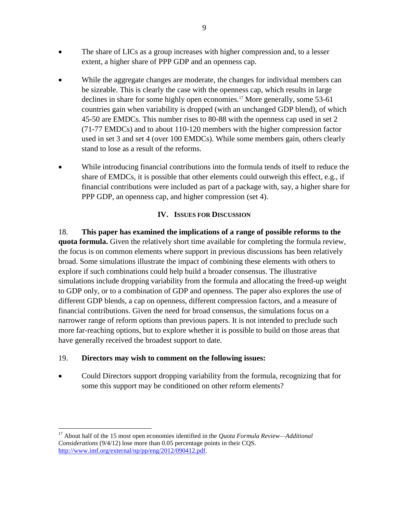- The share of LICs as a group increases with higher compression and, to a lesser extent, a higher share of PPP GDP and an openness cap.
- While the aggregate changes are moderate, the changes for individual members can be sizeable. This is clearly the case with the openness cap, which results in large declines in share for some highly open economies.<sup>17</sup> More generally, some 53-61 countries gain when variability is dropped (with an unchanged GDP blend), of which 45-50 are EMDCs. This number rises to 80-88 with the openness cap used in set 2 (71-77 EMDCs) and to about 110-120 members with the higher compression factor used in set 3 and set 4 (over 100 EMDCs). While some members gain, others clearly stand to lose as a result of the reforms.
- While introducing financial contributions into the formula tends of itself to reduce the share of EMDCs, it is possible that other elements could outweigh this effect, e.g., if financial contributions were included as part of a package with, say, a higher share for PPP GDP, an openness cap, and higher compression (set 4).

## **IV. ISSUES FOR DISCUSSION**

18. **This paper has examined the implications of a range of possible reforms to the quota formula.** Given the relatively short time available for completing the formula review, the focus is on common elements where support in previous discussions has been relatively broad. Some simulations illustrate the impact of combining these elements with others to explore if such combinations could help build a broader consensus. The illustrative simulations include dropping variability from the formula and allocating the freed-up weight to GDP only, or to a combination of GDP and openness. The paper also explores the use of different GDP blends, a cap on openness, different compression factors, and a measure of financial contributions. Given the need for broad consensus, the simulations focus on a narrower range of reform options than previous papers. It is not intended to preclude such more far-reaching options, but to explore whether it is possible to build on those areas that have generally received the broadest support to date.

## 19. **Directors may wish to comment on the following issues:**

 $\overline{a}$ 

 Could Directors support dropping variability from the formula, recognizing that for some this support may be conditioned on other reform elements?

<sup>17</sup> About half of the 15 most open economies identified in the *Quota Formula Review—Additional Considerations* (9/4/12) lose more than 0.05 percentage points in their CQS. [http://www.imf.org/external/np/pp/eng/2012/090412.pdf.](http://www.imf.org/external/np/pp/eng/2012/090412.pdf)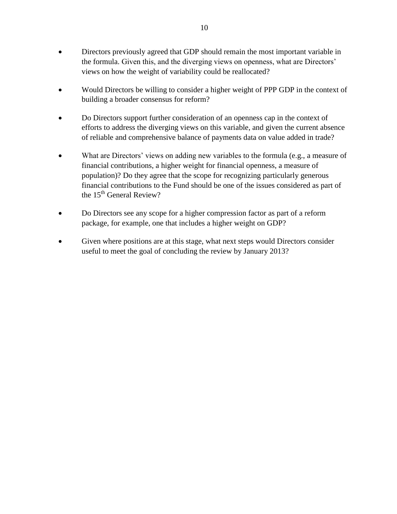- Directors previously agreed that GDP should remain the most important variable in the formula. Given this, and the diverging views on openness, what are Directors' views on how the weight of variability could be reallocated?
- Would Directors be willing to consider a higher weight of PPP GDP in the context of building a broader consensus for reform?
- Do Directors support further consideration of an openness cap in the context of efforts to address the diverging views on this variable, and given the current absence of reliable and comprehensive balance of payments data on value added in trade?
- What are Directors' views on adding new variables to the formula (e.g., a measure of financial contributions, a higher weight for financial openness, a measure of population)? Do they agree that the scope for recognizing particularly generous financial contributions to the Fund should be one of the issues considered as part of the  $15<sup>th</sup>$  General Review?
- Do Directors see any scope for a higher compression factor as part of a reform package, for example, one that includes a higher weight on GDP?
- Given where positions are at this stage, what next steps would Directors consider useful to meet the goal of concluding the review by January 2013?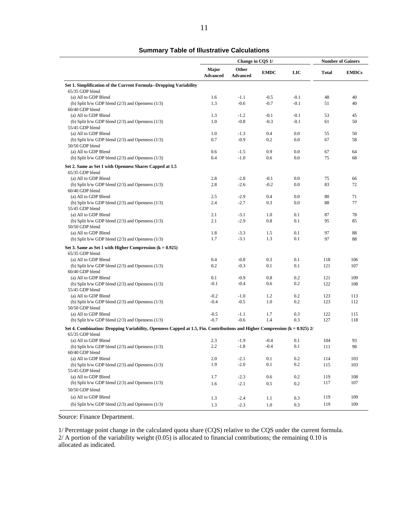### **Summary Table of Illustrative Calculations**

|                                                                                                                                  |                          | Change in CQS 1/         |             |            | <b>Number of Gainers</b> |              |  |
|----------------------------------------------------------------------------------------------------------------------------------|--------------------------|--------------------------|-------------|------------|--------------------------|--------------|--|
|                                                                                                                                  | Major<br><b>Advanced</b> | Other<br><b>Advanced</b> | <b>EMDC</b> | <b>LIC</b> | <b>Total</b>             | <b>EMDCs</b> |  |
| Set 1. Simplification of the Current Formula--Dropping Variability                                                               |                          |                          |             |            |                          |              |  |
| 65/35 GDP blend                                                                                                                  |                          |                          |             |            |                          |              |  |
| (a) All to GDP Blend                                                                                                             | 1.6                      | $-1.1$                   | $-0.5$      | $-0.1$     | 48                       | 40           |  |
| (b) Split b/w GDP blend $(2/3)$ and Openness $(1/3)$                                                                             | 1.3                      | $-0.6$                   | $-0.7$      | $-0.1$     | 51                       | 40           |  |
| 60/40 GDP blend                                                                                                                  |                          |                          |             |            |                          |              |  |
| (a) All to GDP Blend                                                                                                             | 1.3                      | $-1.2$                   | $-0.1$      | $-0.1$     | 53                       | 45           |  |
| (b) Split b/w GDP blend $(2/3)$ and Openness $(1/3)$                                                                             | 1.0                      | $-0.8$                   | $-0.3$      | $-0.1$     | 61                       | 50           |  |
| 55/45 GDP blend<br>(a) All to GDP Blend                                                                                          |                          |                          |             |            |                          |              |  |
|                                                                                                                                  | 1.0<br>0.7               | $-1.3$<br>$-0.9$         | 0.4<br>0.2  | 0.0<br>0.0 | 55                       | 50           |  |
| (b) Split b/w GDP blend $(2/3)$ and Openness $(1/3)$<br>50/50 GDP blend                                                          |                          |                          |             |            | 67                       | 58           |  |
|                                                                                                                                  | 0.6                      |                          | 0.9         | 0.0        | 67                       | 64           |  |
| (a) All to GDP Blend                                                                                                             | 0.4                      | $-1.5$<br>$-1.0$         | 0.6         | 0.0        | 75                       | 68           |  |
| (b) Split b/w GDP blend $(2/3)$ and Openness $(1/3)$                                                                             |                          |                          |             |            |                          |              |  |
| Set 2. Same as Set 1 with Openness Shares Capped at 1.5<br>65/35 GDP blend                                                       |                          |                          |             |            |                          |              |  |
| (a) All to GDP Blend                                                                                                             | 2.8                      | $-2.8$                   | $-0.1$      | 0.0        | 75                       | 66           |  |
| (b) Split b/w GDP blend $(2/3)$ and Openness $(1/3)$                                                                             | 2.8                      | $-2.6$                   | $-0.2$      | 0.0        | 83                       | 72           |  |
| 60/40 GDP blend                                                                                                                  |                          |                          |             |            |                          |              |  |
| (a) All to GDP Blend                                                                                                             | 2.5                      | $-2.9$                   | 0.4         | 0.0        | 80                       | 71           |  |
| (b) Split b/w GDP blend $(2/3)$ and Openness $(1/3)$                                                                             | 2.4                      | $-2.7$                   | 0.3         | 0.0        | 88                       | 77           |  |
| 55/45 GDP blend                                                                                                                  |                          |                          |             |            |                          |              |  |
| (a) All to GDP Blend                                                                                                             | 2.1                      | $-3.1$                   | 1.0         | 0.1        | 87                       | 78           |  |
| (b) Split b/w GDP blend $(2/3)$ and Openness $(1/3)$                                                                             | 2.1                      | $-2.9$                   | 0.8         | 0.1        | 95                       | 85           |  |
| 50/50 GDP blend                                                                                                                  |                          |                          |             |            |                          |              |  |
| (a) All to GDP Blend                                                                                                             | 1.8                      | $-3.3$                   | 1.5         | 0.1        | 97                       | 88           |  |
| (b) Split b/w GDP blend $(2/3)$ and Openness $(1/3)$                                                                             | 1.7                      | $-3.1$                   | 1.3         | 0.1        | 97                       | 88           |  |
| Set 3. Same as Set 1 with Higher Compression $(k = 0.925)$                                                                       |                          |                          |             |            |                          |              |  |
| 65/35 GDP blend                                                                                                                  |                          |                          |             |            |                          |              |  |
| (a) All to GDP Blend                                                                                                             | 0.4                      | $-0.8$                   | 0.3         | 0.1        | 118                      | 106          |  |
| (b) Split b/w GDP blend $(2/3)$ and Openness $(1/3)$                                                                             | 0.2                      | $-0.3$                   | 0.1         | 0.1        | 121                      | 107          |  |
| 60/40 GDP blend                                                                                                                  |                          |                          |             |            |                          |              |  |
| (a) All to GDP Blend                                                                                                             | 0.1                      | $-0.9$                   | 0.8         | 0.2        | 121                      | 109          |  |
| (b) Split b/w GDP blend $(2/3)$ and Openness $(1/3)$                                                                             | $-0.1$                   | $-0.4$                   | 0.6         | 0.2        | 122                      | 108          |  |
| 55/45 GDP blend                                                                                                                  |                          |                          |             |            |                          |              |  |
| (a) All to GDP Blend                                                                                                             | $-0.2$                   | $-1.0$                   | 1.2         | 0.2        | 123                      | 113          |  |
| (b) Split b/w GDP blend $(2/3)$ and Openness $(1/3)$                                                                             | $-0.4$                   | $-0.5$                   | 1.0         | 0.2        | 123                      | 112          |  |
| 50/50 GDP blend                                                                                                                  |                          |                          |             |            |                          |              |  |
| (a) All to GDP Blend                                                                                                             | $-0.5$                   | $-1.1$                   | 1.7         | 0.3        | 122                      | 115          |  |
| (b) Split b/w GDP blend $(2/3)$ and Openness $(1/3)$                                                                             | $-0.7$                   | $-0.6$                   | 1.4         | 0.3        | 127                      | 118          |  |
| Set 4. Combination: Dropping Variability, Openness Capped at 1.5, Fin. Contributions and Higher Compression ( $k = 0.925$ ) $2/$ |                          |                          |             |            |                          |              |  |
| 65/35 GDP blend                                                                                                                  |                          |                          |             |            |                          |              |  |
| (a) All to GDP Blend                                                                                                             | 2.3                      | $-1.9$                   | $-0.4$      | 0.1        | 104                      | 93           |  |
| (b) Split b/w GDP blend $(2/3)$ and Openness $(1/3)$                                                                             | 2.2                      | $-1.8$                   | $-0.4$      | 0.1        | 111                      | 98           |  |
| 60/40 GDP blend                                                                                                                  |                          |                          |             |            |                          |              |  |
| (a) All to GDP Blend                                                                                                             | 2.0                      | $-2.1$                   | 0.1         | 0.2        | 114                      | 103          |  |
| (b) Split b/w GDP blend $(2/3)$ and Openness $(1/3)$                                                                             | 1.9                      | $-2.0$                   | 0.1         | $0.2\,$    | 115                      | 103          |  |
| 55/45 GDP blend                                                                                                                  |                          |                          |             |            |                          |              |  |
| (a) All to GDP Blend                                                                                                             | 1.7                      | $-2.3$                   | 0.6         | 0.2        | 119                      | 108          |  |
| (b) Split b/w GDP blend $(2/3)$ and Openness $(1/3)$                                                                             | 1.6                      | $-2.1$                   | 0.5         | 0.2        | 117                      | 107          |  |
| 50/50 GDP blend                                                                                                                  |                          |                          |             |            |                          |              |  |
| (a) All to GDP Blend                                                                                                             | 1.3                      | $-2.4$                   | 1.1         | 0.3        | 119                      | 109          |  |
| (b) Split b/w GDP blend $(2/3)$ and Openness $(1/3)$                                                                             | 1.3                      | $-2.3$                   | 1.0         | 0.3        | 119                      | 109          |  |
|                                                                                                                                  |                          |                          |             |            |                          |              |  |

Source: Finance Department.

1/ Percentage point change in the calculated quota share (CQS) relative to the CQS under the current formula. 2/ A portion of the variability weight (0.05) is allocated to financial contributions; the remaining 0.10 is allocated as indicated.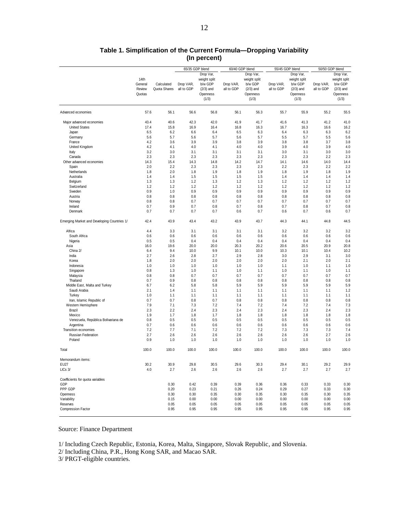|                                             |         | 65/35 GDP blend |            | 60/40 GDP blend |            | 55/45 GDP blend |            | 50/50 GDP blend |            |              |
|---------------------------------------------|---------|-----------------|------------|-----------------|------------|-----------------|------------|-----------------|------------|--------------|
|                                             |         |                 |            | Drop Var,       |            | Drop Var,       |            | Drop Var,       |            | Drop Var,    |
|                                             | 14th    |                 |            | weight split    |            | weight split    |            | weight split    |            | weight split |
|                                             | General | Calculated      | Drop VAR,  | b/w GDP         | Drop VAR,  | b/w GDP         | Drop VAR,  | b/w GDP         | Drop VAR,  | b/w GDP      |
|                                             | Review  | Quota Shares    | all to GDP | $(2/3)$ and     | all to GDP | $(2/3)$ and     | all to GDP | $(2/3)$ and     | all to GDP | $(2/3)$ and  |
|                                             | Quotas  |                 |            | Openness        |            | Openness        |            | Openness        |            | Openness     |
|                                             |         |                 |            | (1/3)           |            | (1/3)           |            | (1/3)           |            | (1/3)        |
|                                             |         |                 |            |                 |            |                 |            |                 |            |              |
| Advanced economies                          | 57.6    | 56.1            | 56.6       | 56.8            | 56.1       | 56.3            | 55.7       | 55.9            | 55.2       | 55.5         |
| Major advanced economies                    | 43.4    | 40.6            | 42.3       | 42.0            | 41.9       | 41.7            | 41.6       | 41.3            | 41.2       | 41.0         |
| <b>United States</b>                        | 17.4    | 15.8            | 16.9       | 16.4            | 16.8       | 16.3            | 16.7       | 16.3            | 16.6       | 16.2         |
| Japan                                       | 6.5     | 6.2             | 6.6        | 6.4             | 6.5        | 6.3             | 6.4        | 6.3             | 6.3        | 6.2          |
| Germany                                     | 5.6     | 5.7             | 5.6        | 5.7             | 5.6        | 5.7             | 5.5        | 5.7             | 5.5        | 5.6          |
| France                                      | 4.2     | 3.6             | 3.9        | 3.9             | 3.8        | 3.9             | 3.8        | 3.8             | 3.7        | 3.8          |
| United Kingdom                              | 4.2     | 4.1             | 4.0        | 4.1             | 4.0        | 4.0             | 3.9        | 4.0             | 3.9        | 4.0          |
| Italy                                       | 3.2     | 3.0             | 3.1        | 3.1             | 3.1        | 3.1             | 3.0        | 3.1             | 3.0        | 3.0          |
| Canada                                      | 2.3     | 2.3             | 2.3        | 2.3             | 2.3        | 2.3             | 2.3        | 2.3             | 2.2        | 2.3          |
| Other advanced economies                    | 14.3    | 15.4            | 14.3       | 14.8            | 14.2       | 14.7            | 14.1       | 14.6            | 14.0       | 14.4         |
|                                             |         |                 |            |                 |            |                 |            |                 |            |              |
| Spain                                       | 2.0     | 2.2             | 2.3        | 2.3             | 2.3        | 2.3             | 2.2        | 2.3             | 2.2        | 2.2          |
| Netherlands                                 | 1.8     | 2.0             | 1.8        | 1.9             | 1.8        | 1.9             | 1.8        | 1.9             | 1.8        | 1.9          |
| Australia                                   | 1.4     | 1.4             | 1.5        | 1.5             | 1.5        | 1.5             | 1.4        | 1.4             | 1.4        | 1.4          |
| Belgium                                     | 1.3     | 1.3             | 1.2        | 1.3             | 1.2        | 1.3             | 1.2        | 1.2             | 1.2        | 1.2          |
| Switzerland                                 | 1.2     | 1.2             | 1.2        | 1.2             | 1.2        | 1.2             | 1.2        | 1.2             | 1.2        | 1.2          |
| Sweden                                      | 0.9     | 1.0             | 0.9        | 0.9             | 0.9        | 0.9             | 0.9        | 0.9             | 0.9        | 0.9          |
| Austria                                     | 0.8     | 0.8             | 0.8        | 0.8             | 0.8        | 0.8             | 0.8        | 0.8             | 0.8        | 0.8          |
| Norway                                      | 0.8     | 0.8             | 0.7        | 0.7             | 0.7        | 0.7             | 0.7        | 0.7             | 0.7        | 0.7          |
| Ireland                                     | 0.7     | 0.9             | 0.7        | 0.8             | 0.7        | 0.8             | 0.7        | 0.8             | 0.7        | 0.8          |
| Denmark                                     | 0.7     | 0.7             | 0.7        | 0.7             | 0.6        | 0.7             | 0.6        | 0.7             | 0.6        | 0.7          |
| Emerging Market and Developing Countries 1/ | 42.4    | 43.9            | 43.4       | 43.2            | 43.9       | 43.7            | 44.3       | 44.1            | 44.8       | 44.5         |
| Africa                                      | 4.4     | 3.3             | 3.1        | 3.1             | 3.1        | 3.1             | 3.2        | 3.2             | 3.2        | 3.2          |
| South Africa                                | 0.6     | 0.6             | 0.6        | 0.6             | 0.6        | 0.6             | 0.6        | 0.6             | 0.6        | 0.6          |
| Nigeria                                     | 0.5     | 0.5             | 0.4        | 0.4             | 0.4        | 0.4             | 0.4        | 0.4             | 0.4        | 0.4          |
| Asia                                        | 16.0    | 19.6            | 20.0       | 20.0            | 20.3       | 20.2            | 20.6       | 20.5            | 20.9       | 20.8         |
| China 2/                                    | 6.4     | 9.4             | 10.0       | 9.9             | 10.1       | 10.0            | 10.3       | 10.1            | 10.4       | 10.2         |
| India                                       | 2.7     | 2.6             | 2.8        | 2.7             | 2.9        | 2.8             | 3.0        | 2.9             | 3.1        | 3.0          |
| Korea                                       | 1.8     | 2.0             | 2.0        | 2.0             | 2.0        | 2.0             | 2.0        | 2.1             | 2.0        | 2.1          |
| Indonesia                                   | 1.0     | 1.0             | 1.0        | 1.0             | 1.0        | 1.0             | 1.1        | 1.0             | 1.1        | 1.0          |
|                                             |         |                 |            |                 |            |                 |            |                 |            |              |
| Singapore                                   | 0.8     | 1.3             | 1.0        | 1.1             | 1.0        | 1.1             | 1.0        | 1.1             | 1.0        | 1.1          |
| Malaysia                                    | 0.8     | 0.8             | 0.7        | 0.7             | 0.7        | 0.7             | 0.7        | 0.7             | 0.7        | 0.7          |
| Thailand                                    | 0.7     | 0.9             | 0.8        | 0.8             | 0.8        | 0.8             | 0.8        | 0.8             | 0.8        | 0.8          |
| Middle East, Malta and Turkey               | 6.7     | 6.2             | 5.8        | 5.8             | 5.9        | 5.9             | 5.9        | 5.9             | 5.9        | 5.9          |
| Saudi Arabia                                | 2.1     | 1.4             | 1.1        | 1.1             | 1.1        | 1.1             | 1.1        | 1.1             | 1.1        | 1.2          |
| Turkey                                      | 1.0     | 1.1             | 1.1        | 1.1             | 1.1        | 1.1             | 1.1        | 1.1             | 1.1        | 1.1          |
| Iran, Islamic Republic of                   | 0.7     | 0.7             | 0.8        | 0.7             | 0.8        | 0.8             | 0.8        | 0.8             | 0.8        | 0.8          |
| Westem Hemisphere                           | 7.9     | 7.1             | 7.3        | 7.2             | 7.4        | 7.2             | 7.4        | 7.2             | 7.4        | 7.3          |
| Brazil                                      | 2.3     | 2.2             | 2.4        | 2.3             | 2.4        | 2.3             | 2.4        | 2.3             | 2.4        | 2.3          |
| Mexico                                      | 1.9     | 1.7             | 1.8        | 1.7             | 1.8        | 1.8             | 1.8        | 1.8             | 1.8        | 1.8          |
| Venezuela, República Bolivariana de         | 0.8     | 0.5             | 0.5        | 0.5             | 0.5        | 0.5             | 0.5        | 0.5             | 0.5        | 0.5          |
| Argentina                                   | 0.7     | 0.6             | 0.6        | 0.6             | 0.6        | 0.6             | 0.6        | 0.6             | 0.6        | 0.6          |
| Transition economies                        | 7.2     | 7.7             | 7.1        | 7.2             | 7.2        | 7.2             | 7.3        | 7.3             | 7.3        | 7.4          |
| Russian Federation                          | 2.7     | 2.6             | 2.6        | 2.6             | 2.6        | 2.6             | 2.6        | 2.6             | 2.7        | 2.6          |
| Poland                                      | 0.9     | 1.0             | 1.0        | 1.0             | 1.0        | 1.0             | 1.0        | 1.0             | 1.0        | 1.0          |
| Total                                       | 100.0   | 100.0           | 100.0      | 100.0           | 100.0      | 100.0           | 100.0      | 100.0           | 100.0      | 100.0        |
| Memorandum items:                           |         |                 |            |                 |            |                 |            |                 |            |              |
| EU27                                        | 30.2    | 30.9            | 29.8       | 30.5            | 29.6       | 30.3            | 29.4       | 30.1            | 29.2       | 29.9         |
| LICs 3/                                     | 4.0     | 2.7             | 2.6        | 2.6             | 2.6        | 2.6             | 2.7        | 2.7             | 2.7        | 2.7          |
| Coefficients for quota variables            |         |                 |            |                 |            |                 |            |                 |            |              |
| GDP                                         |         | 0.30            | 0.42       | 0.39            | 0.39       | 0.36            | 0.36       | 0.33            | 0.33       | 0.30         |
| PPP GDP                                     |         | 0.20            | 0.23       | 0.21            | 0.26       | 0.24            | 0.29       | 0.27            | 0.33       | 0.30         |
| Openness                                    |         | 0.30            | 0.30       | 0.35            | 0.30       | 0.35            | 0.30       | 0.35            | 0.30       | 0.35         |
| Variability                                 |         | 0.15            | 0.00       | 0.00            | 0.00       | 0.00            | 0.00       | 0.00            | 0.00       | 0.00         |
| Reserves                                    |         | 0.05            | 0.05       | 0.05            | 0.05       | 0.05            | 0.05       | 0.05            | 0.05       | 0.05         |
| <b>Compression Factor</b>                   |         | 0.95            | 0.95       | 0.95            | 0.95       | 0.95            | 0.95       | 0.95            | 0.95       | 0.95         |
|                                             |         |                 |            |                 |            |                 |            |                 |            |              |

### **Table 1. Simplification of the Current Formula—Dropping Variability (In percent)**

Source: Finance Department

1/ Including Czech Republic, Estonia, Korea, Malta, Singapore, Slovak Republic, and Slovenia.

2/ Including China, P.R., Hong Kong SAR, and Macao SAR.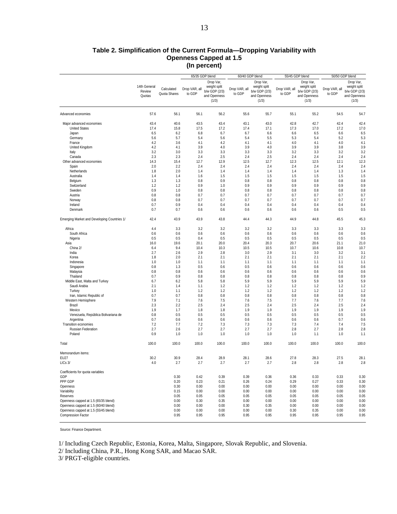#### **Table 2. Simplification of the Current Formula—Dropping Variability with Openness Capped at 1.5 (In percent)**

|                                             |              |              | 65/35 GDP blend |               | 60/40 GDP blend |               | 55/45 GDP blend |               | 50/50 GDP blend |               |
|---------------------------------------------|--------------|--------------|-----------------|---------------|-----------------|---------------|-----------------|---------------|-----------------|---------------|
|                                             |              |              |                 | Drop Var,     |                 | Drop Var,     |                 | Drop Var,     |                 | Drop Var,     |
|                                             | 14th General |              |                 | weight split  |                 | weight split  |                 |               |                 | weight split  |
|                                             |              | Calculated   | Drop VAR, all   |               | Drop VAR, all   |               | Drop VAR, all   | weight split  | Drop VAR, all   | b/w GDP (2/3) |
|                                             | Review       | Quota Shares | to GDP          | b/w GDP (2/3) | to GDP          | b/w GDP (2/3) | to GDP          | b/w GDP (2/3) | to GDP          |               |
|                                             | Quotas       |              |                 | and Openness  |                 | and Openness  |                 | and Openness  |                 | and Openness  |
|                                             |              |              |                 | (1/3)         |                 | (1/3)         |                 | (1/3)         |                 | (1/3)         |
| Advanced economies                          | 57.6         | 56.1         | 56.1            | 56.2          | 55.6            | 55.7          | 55.1            | 55.2          | 54.5            | 54.7          |
| Major advanced economies                    | 43.4         | 40.6         | 43.5            | 43.4          | 43.1            | 43.0          | 42.8            | 42.7          | 42.4            | 42.4          |
| <b>United States</b>                        | 17.4         | 15.8         | 17.5            | 17.2          | 17.4            | 17.1          | 17.3            | 17.0          | 17.2            | 17.0          |
| Japan                                       | 6.5          | 6.2          | 6.8             | 6.7           | 6.7             | 6.6           | 6.6             | 6.5           | 6.6             | 6.5           |
| Germany                                     | 5.6          | 5.7          | 5.4             | 5.6           | 5.4             | 5.5           | 5.3             | 5.4           | 5.2             | 5.3           |
| France                                      | 4.2          | 3.6          | 4.1             | 4.2           | 4.1             | 4.1           | 4.0             | 4.1           | 4.0             | 4.1           |
| United Kingdom                              | 4.2          | 4.1          | 3.9             | 4.0           | 3.9             | 4.0           | 3.9             | 3.9           | 3.8             | 3.9           |
| Italy                                       | 3.2          | 3.0          | 3.3             | 3.3           | 3.3             | 3.3           | 3.2             | 3.3           | 3.2             | 3.2           |
| Canada                                      | 2.3          | 2.3          | 2.4             | 2.5           | 2.4             | 2.5           | 2.4             | 2.4           | 2.4             | 2.4           |
| Other advanced economies                    | 14.3         | 15.4         | 12.7            | 12.9          | 12.5            | 12.7          | 12.3            | 12.5          | 12.1            | 12.3          |
| Spain                                       | 2.0          | 2.2          | 2.4             | 2.4           | 2.4             | 2.4           | 2.4             | 2.4           | 2.4             | 2.4           |
| Netherlands                                 | 1.8          | 2.0          | 1.4             | 1.4           | 1.4             | 1.4           | 1.4             | 1.4           | 1.3             | 1.4           |
| Australia                                   | 1.4          | 1.4          | 1.6             | 1.5           | 1.5             | 1.5           | 1.5             | 1.5           | 1.5             | 1.5           |
|                                             | 1.3          | 1.3          | 0.8             | 0.9           | 0.8             | 0.8           | 0.8             | 0.8           | 0.8             | 0.8           |
| Belgium                                     | 1.2          | 1.2          | 0.9             | 1.0           | 0.9             | 0.9           | 0.9             | 0.9           | 0.9             | 0.9           |
| Switzerland                                 |              |              |                 |               |                 |               |                 |               |                 |               |
| Sweden                                      | 0.9          | 1.0          | 0.8             | 0.8           | 0.8             | 0.8           | 0.8             | 0.8           | 0.8             | 0.8           |
| Austria                                     | 0.8          | 0.8          | 0.7             | 0.7           | 0.7             | 0.7           | 0.7             | 0.7           | 0.7             | 0.7           |
| Norway                                      | 0.8          | 0.8          | 0.7             | 0.7           | 0.7             | 0.7           | 0.7             | 0.7           | 0.7             | 0.7           |
| Ireland                                     | 0.7          | 0.9          | 0.4             | 0.4           | 0.4             | 0.4           | 0.4             | 0.4           | 0.4             | 0.4           |
| Denmark                                     | 0.7          | 0.7          | 0.6             | 0.6           | 0.6             | 0.6           | 0.6             | 0.6           | 0.5             | 0.5           |
| Emerging Market and Developing Countries 1/ | 42.4         | 43.9         | 43.9            | 43.8          | 44.4            | 44.3          | 44.9            | 44.8          | 45.5            | 45.3          |
| Africa                                      | 4.4          | 3.3          | 3.2             | 3.2           | 3.2             | 3.2           | 3.3             | 3.3           | 3.3             | 3.3           |
| South Africa                                | 0.6          | 0.6          | 0.6             | 0.6           | 0.6             | 0.6           | 0.6             | 0.6           | 0.6             | 0.6           |
| Nigeria                                     | 0.5          | 0.5          | 0.4             | 0.5           | 0.5             | 0.5           | 0.5             | 0.5           | 0.5             | 0.5           |
| Asia                                        | 16.0         | 19.6         | 20.1            | 20.0          | 20.4            | 20.3          | 20.7            | 20.6          | 21.1            | 21.0          |
| China 2/                                    | 6.4          | 9.4          | 10.4            | 10.3          | 10.5            | 10.5          | 10.7            | 10.6          | 10.8            | 10.7          |
| India                                       | 2.7          | 2.6          | 2.9             | 2.8           | 3.0             | 2.9           | 3.1             | 3.0           | 3.2             | 3.1           |
| Korea                                       | 1.8          | 2.0          | 2.1             | 2.1           | 2.1             | 2.1           | 2.1             | 2.1           | 2.1             | 2.2           |
| Indonesia                                   | 1.0          | 1.0          | 1.1             | 1.1           | 1.1             | 1.1           | 1.1             | 1.1           | 1.1             | 1.1           |
| Singapore                                   | 0.8          | 1.3          | 0.5             | 0.6           | 0.5             | 0.6           | 0.6             | 0.6           | 0.6             | 0.6           |
| Malaysia                                    | 0.8          | 0.8          | 0.6             | 0.6           | 0.6             | 0.6           | 0.6             | 0.6           | 0.6             | 0.6           |
| Thailand                                    | 0.7          | 0.9          | 0.8             | 0.8           | 0.8             | 0.8           | 0.8             | 0.8           | 0.8             | 0.9           |
| Middle East, Malta and Turkey               | 6.7          | 6.2          | 5.8             | 5.8           | 5.9             | 5.9           | 5.9             | 5.9           | 5.9             | 5.9           |
| Saudi Arabia                                | 2.1          | 1.4          | 1.1             | 1.2           | 1.2             | 1.2           | 1.2             | 1.2           | 1.2             | 1.2           |
| Turkey                                      | 1.0          | 1.1          | 1.2             | 1.2           | 1.2             | 1.2           | 1.2             | 1.2           | 1.2             | 1.2           |
| Iran, Islamic Republic of                   | 0.7          | 0.7          | 0.8             | 0.8           | 0.8             | 0.8           | 0.8             | 0.8           | 0.8             | 0.8           |
| Western Hemisphere                          | 7.9          | 7.1          | 7.6             | 7.5           | 7.6             | 7.5           | 7.7             | 7.6           | 7.7             | 7.6           |
| Brazil                                      | 2.3          | 2.2          | 2.5             | 2.4           | 2.5             | 2.4           | 2.5             | 2.4           | 2.5             | 2.4           |
| Mexico                                      | 1.9          | 1.7          | 1.8             | 1.8           | 1.9             | 1.9           | 1.9             | 1.9           | 1.9             | 1.9           |
| Venezuela, República Bolivariana de         | 0.8          | 0.5          | 0.5             | 0.5           | 0.5             | 0.5           | 0.5             | 0.5           | 0.5             | 0.5           |
| Argentina                                   | 0.7          | 0.6          | 0.6             | 0.6           | 0.6             | 0.6           | 0.6             | 0.6           | 0.7             | 0.6           |
| Transition economies                        | 7.2          | 7.7          | 7.2             | 7.3           | 7.3             | 7.3           | 7.3             | 7.4           | 7.4             | 7.5           |
| Russian Federation                          | 2.7          | 2.6          | 2.7             | 2.7           | 2.7             | 2.7           | 2.8             | 2.7           | 2.8             | 2.8           |
| Poland                                      | 0.9          | 1.0          | 1.0             | 1.0           | 1.0             | 1.0           | 1.0             | 1.1           | 1.0             | 1.1           |
| Total                                       | 100.0        | 100.0        | 100.0           | 100.0         | 100.0           | 100.0         | 100.0           | 100.0         | 100.0           | 100.0         |
| Memorandum items:                           |              |              |                 |               |                 |               |                 |               |                 |               |
| <b>EU27</b>                                 | 30.2         | 30.9         | 28.4            | 28.9          | 28.1            | 28.6          | 27.8            | 28.3          | 27.5            | 28.1          |
| $LICs$ $3/$                                 | 4.0          | 2.7          | 2.7             | 2.7           | 2.7             | 2.7           | 2.8             | 2.8           | 2.8             | 2.8           |
| Coefficients for quota variables<br>GDP     |              | 0.30         | 0.42            | 0.39          | 0.39            | 0.36          | 0.36            | 0.33          | 0.33            | 0.30          |
| PPP GDP                                     |              | 0.20         | 0.23            | 0.21          | 0.26            | 0.24          | 0.29            | 0.27          | 0.33            | 0.30          |
|                                             |              | 0.30         | 0.00            | 0.00          | 0.00            | 0.00          | 0.00            | 0.00          | 0.00            | 0.00          |
| Openness<br>Variability                     |              | 0.15         | 0.00            | 0.00          | 0.00            | 0.00          | 0.00            | 0.00          | 0.00            | 0.00          |
| Reserves                                    |              | 0.05         | 0.05            | 0.05          | 0.05            | 0.05          | 0.05            | 0.05          | 0.05            | 0.05          |
| Openness capped at 1.5 (65/35 blend)        |              | 0.00         | 0.30            | 0.35          | 0.00            | 0.00          | 0.00            | 0.00          | 0.00            | 0.00          |
| Openness capped at 1.5 (60/40 blend)        |              | 0.00         | 0.00            | 0.00          | 0.30            | 0.35          | 0.00            | 0.00          | 0.00            | 0.00          |
| Openness capped at 1.5 (55/45 blend)        |              | 0.00         | 0.00            | 0.00          | 0.00            | 0.00          | 0.30            | 0.35          | 0.00            | 0.00          |
| Compression Factor                          |              | 0.95         | 0.95            | 0.95          | 0.95            | 0.95          | 0.95            | 0.95          | 0.95            | 0.95          |
|                                             |              |              |                 |               |                 |               |                 |               |                 |               |

Source: Finance Department.

1/ Including Czech Republic, Estonia, Korea, Malta, Singapore, Slovak Republic, and Slovenia.

2/ Including China, P.R., Hong Kong SAR, and Macao SAR.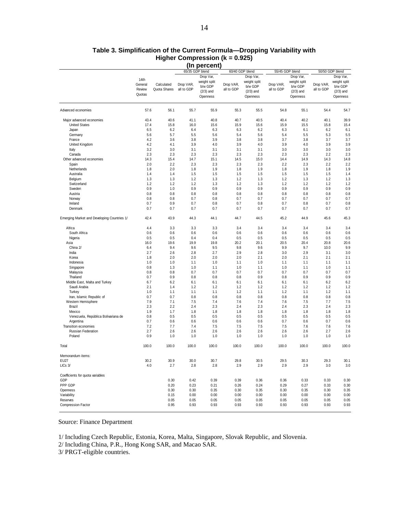|                                             |         |              | 65/35 GDP blend |              | 60/40 GDP blend |              | 55/45 GDP blend |              | 50/50 GDP blend |              |
|---------------------------------------------|---------|--------------|-----------------|--------------|-----------------|--------------|-----------------|--------------|-----------------|--------------|
|                                             |         |              |                 | Drop Var,    |                 | Drop Var,    |                 | Drop Var,    |                 | Drop Var,    |
|                                             | 14th    |              |                 | weight split |                 | weight split |                 | weight split |                 | weight split |
|                                             | General | Calculated   | Drop VAR,       | b/w GDP      | Drop VAR,       | b/w GDP      | Drop VAR,       | b/w GDP      | Drop VAR,       | b/w GDP      |
|                                             | Review  | Quota Shares | all to GDP      | $(2/3)$ and  | all to GDP      | $(2/3)$ and  | all to GDP      | $(2/3)$ and  | all to GDP      | $(2/3)$ and  |
|                                             | Quotas  |              |                 |              |                 |              |                 |              |                 |              |
|                                             |         |              |                 | Openness     |                 | Openness     |                 | Openness     |                 | Openness     |
| Advanced economies                          | 57.6    | 56.1         | 55.7            | 55.9         | 55.3            | 55.5         | 54.8            | 55.1         | 54.4            | 54.7         |
| Major advanced economies                    | 43.4    | 40.6         | 41.1            | 40.8         | 40.7            | 40.5         | 40.4            | 40.2         | 40.1            | 39.9         |
| <b>United States</b>                        | 17.4    | 15.8         | 16.0            | 15.6         | 15.9            | 15.6         | 15.9            | 15.5         | 15.8            | 15.4         |
| Japan                                       | 6.5     | 6.2          | 6.4             | 6.3          | 6.3             | 6.2          | 6.3             | 6.1          | 6.2             | 6.1          |
| Germany                                     | 5.6     | 5.7          | 5.5             | 5.6          | 5.4             | 5.6          | 5.4             | 5.5          | 5.3             | 5.5          |
| France                                      | 4.2     | 3.6          | 3.8             | 3.9          | 3.8             | 3.8          | 3.7             | 3.8          | 3.7             | 3.7          |
| <b>United Kingdom</b>                       | 4.2     | 4.1          | 3.9             | 4.0          | 3.9             | 4.0          | 3.9             | 4.0          | 3.9             | 3.9          |
| Italy                                       | 3.2     | 3.0          | 3.1             | 3.1          | 3.1             | 3.1          | 3.0             | 3.0          | 3.0             | 3.0          |
| Canada                                      | 2.3     | 2.3          | 2.3             | 2.3          | 2.3             | 2.3          | 2.3             | 2.3          | 2.2             | 2.3          |
| Other advanced economies                    | 14.3    | 15.4         | 14.7            | 15.1         | 14.5            | 15.0         | 14.4            | 14.9         | 14.3            | 14.8         |
|                                             | 2.0     | 2.2          | 2.3             | 2.3          | 2.3             | 2.3          | 2.2             | 2.3          | 2.2             | 2.2          |
| Spain                                       |         |              |                 |              |                 |              |                 |              |                 |              |
| Netherlands                                 | 1.8     | 2.0          | 1.8             | 1.9          | 1.8             | 1.9          | 1.8             | 1.9          | 1.8             | 1.9          |
| Australia                                   | 1.4     | 1.4          | 1.5             | 1.5          | 1.5             | 1.5          | 1.5             | 1.5          | 1.5             | 1.4          |
| Belgium                                     | 1.3     | 1.3          | 1.2             | 1.3          | 1.2             | 1.3          | 1.2             | 1.3          | 1.2             | 1.3          |
| Switzerland                                 | 1.2     | 1.2          | 1.2             | 1.3          | 1.2             | 1.3          | 1.2             | 1.2          | 1.2             | 1.2          |
| Sweden                                      | 0.9     | 1.0          | 0.9             | 0.9          | 0.9             | 0.9          | 0.9             | 0.9          | 0.9             | 0.9          |
| Austria                                     | 0.8     | 0.8          | 0.8             | 0.8          | 0.8             | 0.8          | 0.8             | 0.8          | 0.8             | 0.8          |
| Norway                                      | 0.8     | 0.8          | 0.7             | 0.8          | 0.7             | 0.7          | 0.7             | 0.7          | 0.7             | 0.7          |
| Ireland                                     | 0.7     | 0.9          | 0.7             | 0.8          | 0.7             | 0.8          | 0.7             | 0.8          | 0.7             | 0.8          |
| Denmark                                     | 0.7     | 0.7          | 0.7             | 0.7          | 0.7             | 0.7          | 0.7             | 0.7          | 0.7             | 0.7          |
| Emerging Market and Developing Countries 1/ | 42.4    | 43.9         | 44.3            | 44.1         | 44.7            | 44.5         | 45.2            | 44.9         | 45.6            | 45.3         |
| Africa                                      | 4.4     | 3.3          | 3.3             | 3.3          | 3.4             | 3.4          | 3.4             | 3.4          | 3.4             | 3.4          |
| South Africa                                | 0.6     | 0.6          | 0.6             | 0.6          | 0.6             | 0.6          | 0.6             | 0.6          | 0.6             | 0.6          |
| Nigeria                                     | 0.5     | 0.5          | 0.4             | 0.4          | 0.5             | 0.5          | 0.5             | 0.5          | 0.5             | 0.5          |
| Asia                                        | 16.0    | 19.6         | 19.9            | 19.8         | 20.2            | 20.1         | 20.5            | 20.4         | 20.8            | 20.6         |
| China 2/                                    | 6.4     | 9.4          | 9.6             | 9.5          | 9.8             | 9.6          | 9.9             | 9.7          | 10.0            | 9.9          |
| India                                       | 2.7     | 2.6          | 2.8             | 2.7          | 2.9             | 2.8          | 3.0             | 2.9          | 3.1             | 3.0          |
| Korea                                       | 1.8     | 2.0          | 2.0             | 2.0          | 2.0             | 2.1          | 2.0             | 2.1          | 2.1             | 2.1          |
| Indonesia                                   | 1.0     | 1.0          | 1.1             | 1.0          | 1.1             | 1.0          | 1.1             | 1.1          | 1.1             | 1.1          |
| Singapore                                   | 0.8     | 1.3          | 1.0             | 1.1          | 1.0             | 1.1          | 1.0             | 1.1          | 1.0             | 1.1          |
| Malaysia                                    | 0.8     | 0.8          | 0.7             | 0.7          | 0.7             | 0.7          | 0.7             | 0.7          | 0.7             | 0.7          |
| Thailand                                    | 0.7     | 0.9          | 0.8             | 0.8          | 0.8             | 0.9          | 0.8             | 0.9          | 0.9             | 0.9          |
| Middle East, Malta and Turkey               | 6.7     | 6.2          | 6.1             | 6.1          | 6.1             | 6.1          | 6.1             | 6.1          | 6.2             | 6.2          |
| Saudi Arabia                                | 2.1     | 1.4          | 1.2             | 1.2          | 1.2             | 1.2          | 1.2             | 1.2          | 1.2             | 1.2          |
| Turkey                                      | 1.0     | 1.1          | 1.1             | 1.1          | 1.2             | 1.1          | 1.2             | 1.1          | 1.2             | 1.1          |
| Iran, Islamic Republic of                   | 0.7     | 0.7          | 0.8             | 0.8          | 0.8             | 0.8          | 0.8             | 0.8          | 0.8             | 0.8          |
| Western Hemisphere                          | 7.9     | 7.1          | 7.5             | 7.4          | 7.6             | 7.4          | 7.6             | 7.5          | 7.7             | 7.5          |
| Brazil                                      | 2.3     | 2.2          | 2.4             | 2.3          | 2.4             | 2.3          | 2.4             | 2.3          | 2.4             | 2.3          |
| Mexico                                      | 1.9     | 1.7          | 1.8             | 1.8          | 1.8             | 1.8          | 1.8             | 1.8          | 1.8             | 1.8          |
| Venezuela, República Bolivariana de         | 0.8     | 0.5          | 0.5             | 0.5          | 0.5             | 0.5          | 0.5             | 0.5          | 0.5             | 0.5          |
| Argentina                                   | 0.7     | 0.6          | 0.6             | 0.6          | 0.6             | 0.6          | 0.7             | 0.6          | 0.7             | 0.6          |
| Transition economies                        | 7.2     | 7.7          | 7.4             | 7.5          | 7.5             | 7.5          | 7.5             | 7.6          | 7.6             | 7.6          |
| Russian Federation                          | 2.7     | 2.6          | 2.6             | 2.6          | 2.6             | 2.6          | 2.6             | 2.6          | 2.7             | 2.6          |
| Poland                                      | 0.9     | 1.0          | 1.0             | 1.0          | 1.0             | 1.0          | 1.0             | 1.0          | 1.0             | 1.0          |
| Total                                       | 100.0   | 100.0        | 100.0           | 100.0        | 100.0           | 100.0        | 100.0           | 100.0        | 100.0           | 100.0        |
| Memorandum items:                           |         |              |                 |              |                 |              |                 |              |                 |              |
| EU27                                        | 30.2    | 30.9         | 30.0            | 30.7         | 29.8            | 30.5         | 29.5            | 30.3         | 29.3            | 30.1         |
| LICs 3/                                     | 4.0     | 2.7          | 2.8             | 2.8          | 2.9             | 2.9          | 2.9             | 2.9          | 3.0             | 3.0          |
| Coefficients for quota variables            |         |              |                 |              |                 |              |                 |              |                 |              |
| GDP                                         |         | 0.30         | 0.42            | 0.39         | 0.39            | 0.36         | 0.36            | 0.33         | 0.33            | 0.30         |
| PPP GDP                                     |         | 0.20         | 0.23            | 0.21         | 0.26            | 0.24         | 0.29            | 0.27         | 0.33            | 0.30         |
| Openness                                    |         | 0.30         | 0.30            | 0.35         | 0.30            | 0.35         | 0.30            | 0.35         | 0.30            | 0.35         |
| Variability                                 |         | 0.15         | 0.00            | 0.00         | 0.00            | 0.00         | 0.00            | 0.00         | 0.00            | 0.00         |
| Reserves                                    |         | 0.05         | 0.05            | 0.05         | 0.05            | 0.05         | 0.05            | 0.05         | 0.05            | 0.05         |
| Compression Factor                          |         | 0.95         | 0.93            | 0.93         | 0.93            | 0.93         | 0.93            | 0.93         | 0.93            | 0.93         |
|                                             |         |              |                 |              |                 |              |                 |              |                 |              |

#### **Table 3. Simplification of the Current Formula—Dropping Variability with Higher Compression (k = 0.925) (In percent)**

Source: Finance Department

1/ Including Czech Republic, Estonia, Korea, Malta, Singapore, Slovak Republic, and Slovenia.

2/ Including China, P.R., Hong Kong SAR, and Macao SAR.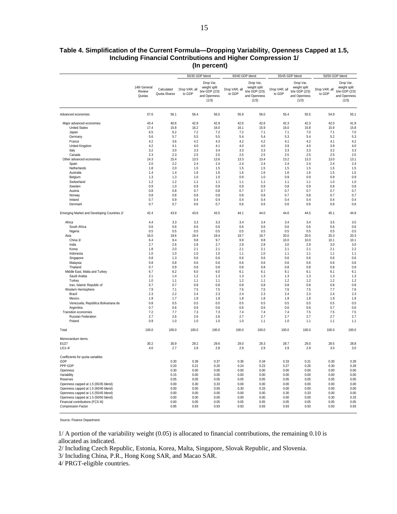#### **Table 4. Simplification of the Current Formula—Dropping Variability, Openness Capped at 1.5, Including Financial Contributions and Higher Compression 1/ (In percent)**

|                                                                              |                                  |                            | 65/35 GDP blend         |                                                                     | 60/40 GDP blend         |                                                                     | 55/45 GDP blend         |                                                                     | 50/50 GDP blend         |                                                                     |
|------------------------------------------------------------------------------|----------------------------------|----------------------------|-------------------------|---------------------------------------------------------------------|-------------------------|---------------------------------------------------------------------|-------------------------|---------------------------------------------------------------------|-------------------------|---------------------------------------------------------------------|
|                                                                              | 14th General<br>Review<br>Quotas | Calculated<br>Quota Shares | Drop VAR, all<br>to GDP | Drop Var,<br>weight split<br>b/w GDP (2/3)<br>and Openness<br>(1/3) | Drop VAR, all<br>to GDP | Drop Var,<br>weight split<br>b/w GDP (2/3)<br>and Openness<br>(1/3) | Drop VAR, all<br>to GDP | Drop Var,<br>weight split<br>b/w GDP (2/3)<br>and Openness<br>(1/3) | Drop VAR, all<br>to GDP | Drop Var,<br>weight split<br>b/w GDP (2/3)<br>and Openness<br>(1/3) |
| Advanced economies                                                           | 57.6                             | 56.1                       | 56.4                    | 56.5                                                                | 55.9                    | 56.0                                                                | 55.4                    | 55.5                                                                | 54.9                    | 55.1                                                                |
| Major advanced economies                                                     | 43.4                             | 40.6                       | 42.9                    | 42.9                                                                | 42.6                    | 42.6                                                                | 42.3                    | 42.3                                                                | 42.0                    | 41.9                                                                |
| <b>United States</b>                                                         | 17.4                             | 15.8                       | 16.2                    | 16.0                                                                | 16.1                    | 15.9                                                                | 16.0                    | 15.8                                                                | 15.9                    | 15.8                                                                |
| Japan                                                                        | 6.5                              | 6.2                        | 7.2                     | 7.2                                                                 | 7.2                     | 7.1                                                                 | 7.1                     | 7.0                                                                 | 7.1                     | 7.0                                                                 |
| Germany                                                                      | 5.6                              | 5.7<br>3.6                 | 5.5                     | 5.5                                                                 | 5.4                     | 5.4                                                                 | 5.3                     | 5.4                                                                 | 5.2                     | 5.3                                                                 |
| France<br>United Kingdom                                                     | 4.2<br>4.2                       | 4.1                        | 4.2<br>4.0              | 4.3<br>4.1                                                          | 4.2<br>4.0              | 4.2<br>4.0                                                          | 4.1<br>3.9              | 4.2<br>4.0                                                          | 4.1<br>3.9              | 4.2<br>4.0                                                          |
| Italy                                                                        | 3.2                              | 3.0                        | 3.3                     | 3.4                                                                 | 3.3                     | 3.3                                                                 | 3.3                     | 3.3                                                                 | 3.2                     | 3.3                                                                 |
| Canada                                                                       | 2.3                              | 2.3                        | 2.5                     | 2.5                                                                 | 2.5                     | 2.5                                                                 | 2.5                     | 2.5                                                                 | 2.5                     | 2.5                                                                 |
| Other advanced economies                                                     | 14.3                             | 15.4                       | 13.5                    | 13.6                                                                | 13.3                    | 13.4                                                                | 13.2                    | 13.3                                                                | 13.0                    | 13.1                                                                |
| Spain                                                                        | 2.0                              | 2.2                        | 2.4                     | 2.4                                                                 | 2.4                     | 2.4                                                                 | 2.4                     | 2.4                                                                 | 2.4                     | 2.4                                                                 |
| Netherlands<br>Australia                                                     | 1.8<br>1.4                       | 2.0<br>1.4                 | 1.5<br>1.6              | 1.5<br>1.6                                                          | 1.5<br>1.6              | 1.5<br>1.6                                                          | 1.5<br>1.6              | 1.5<br>1.6                                                          | 1.5<br>1.5              | 1.5<br>1.5                                                          |
| Belgium                                                                      | 1.3                              | 1.3                        | 1.0                     | 1.0                                                                 | 0.9                     | 1.0                                                                 | 0.9                     | 0.9                                                                 | 0.9                     | 0.9                                                                 |
| Switzerland                                                                  | 1.2                              | 1.2                        | 1.1                     | 1.1                                                                 | 1.1                     | 1.1                                                                 | 1.1                     | 1.1                                                                 | 1.0                     | 1.0                                                                 |
| Sweden                                                                       | 0.9                              | 1.0                        | 0.9                     | 0.9                                                                 | 0.9                     | 0.9                                                                 | 0.8                     | 0.9                                                                 | 0.8                     | 0.8                                                                 |
| Austria                                                                      | 0.8                              | 0.8                        | 0.7                     | 0.8                                                                 | 0.7                     | 0.7                                                                 | 0.7                     | 0.7                                                                 | 0.7                     | 0.7                                                                 |
| Norway                                                                       | 0.8                              | 0.8                        | 0.8                     | 0.8                                                                 | 0.8                     | 0.8                                                                 | 0.7                     | 0.8                                                                 | 0.7                     | 0.7                                                                 |
| Ireland<br>Denmark                                                           | 0.7<br>0.7                       | 0.9<br>0.7                 | 0.4<br>0.6              | 0.4<br>0.7                                                          | 0.4<br>0.6              | 0.4<br>0.6                                                          | 0.4<br>0.6              | 0.4<br>0.6                                                          | 0.4<br>0.6              | 0.4<br>0.6                                                          |
| Emerging Market and Developing Countries 2/                                  | 42.4                             | 43.9                       | 43.6                    | 43.5                                                                | 44.1                    | 44.0                                                                | 44.6                    | 44.5                                                                | 45.1                    | 44.9                                                                |
| Africa                                                                       | 4.4                              | 3.3                        | 3.3                     | 3.3                                                                 | 3.4                     | 3.4                                                                 | 3.4                     | 3.4                                                                 | 3.5                     | 3.5                                                                 |
| South Africa                                                                 | 0.6                              | 0.6                        | 0.6                     | 0.6                                                                 | 0.6                     | 0.6                                                                 | 0.6                     | 0.6                                                                 | 0.6                     | 0.6                                                                 |
| Nigeria                                                                      | 0.5                              | 0.5                        | 0.5                     | 0.5                                                                 | 0.5                     | 0.5                                                                 | 0.5                     | 0.5                                                                 | 0.5                     | 0.5                                                                 |
| Asia                                                                         | 16.0                             | 19.6                       | 19.4                    | 19.4                                                                | 19.7                    | 19.7                                                                | 20.0                    | 20.0                                                                | 20.3                    | 20.3                                                                |
| China 3/                                                                     | 6.4                              | 9.4                        | 9.8                     | 9.7                                                                 | 9.9                     | 9.8                                                                 | 10.0                    | 10.0                                                                | 10.1                    | 10.1                                                                |
| India                                                                        | 2.7                              | 2.6                        | 2.8                     | 2.7                                                                 | 2.9                     | 2.8                                                                 | 3.0                     | 2.9                                                                 | 3.0                     | 3.0                                                                 |
| Korea<br>Indonesia                                                           | 1.8<br>1.0                       | 2.0<br>1.0                 | 2.1<br>1.0              | 2.1<br>1.0                                                          | 2.1<br>1.1              | 2.1<br>1.0                                                          | 2.1<br>1.1              | 2.1<br>1.1                                                          | 2.1<br>1.1              | 2.2<br>1.1                                                          |
| Singapore                                                                    | 0.8                              | 1.3                        | 0.6                     | 0.6                                                                 | 0.6                     | 0.6                                                                 | 0.6                     | 0.6                                                                 | 0.6                     | 0.6                                                                 |
| Malaysia                                                                     | 0.8                              | 0.8                        | 0.6                     | 0.6                                                                 | 0.6                     | 0.6                                                                 | 0.6                     | 0.6                                                                 | 0.6                     | 0.6                                                                 |
| Thailand                                                                     | 0.7                              | 0.9                        | 0.8                     | 0.8                                                                 | 0.8                     | 0.8                                                                 | 0.8                     | 0.8                                                                 | 0.8                     | 0.9                                                                 |
| Middle East, Malta and Turkey                                                | 6.7                              | 6.2                        | 6.0                     | 6.0                                                                 | 6.1                     | 6.1                                                                 | 6.1                     | 6.1                                                                 | 6.1                     | 6.1                                                                 |
| Saudi Arabia                                                                 | 2.1                              | 1.4                        | 1.2                     | 1.3                                                                 | 1.3                     | 1.3                                                                 | 1.3                     | 1.3                                                                 | 1.3                     | 1.3                                                                 |
| Turkey                                                                       | 1.0                              | 1.1                        | 1.1                     | 1.1                                                                 | 1.2                     | 1.1                                                                 | 1.2                     | 1.2<br>0.8                                                          | 1.2                     | 1.2                                                                 |
| Iran, Islamic Republic of<br>Western Hemisphere                              | 0.7<br>7.9                       | 0.7<br>7.1                 | 0.8<br>7.5              | 0.8<br>7.5                                                          | 0.8<br>7.6              | 0.8<br>7.5                                                          | 0.8<br>7.6              | 7.5                                                                 | 0.8<br>7.7              | 0.8<br>7.6                                                          |
| Brazil                                                                       | 2.3                              | 2.2                        | 2.4                     | 2.3                                                                 | 2.4                     | 2.3                                                                 | 2.4                     | 2.3                                                                 | 2.4                     | 2.3                                                                 |
| Mexico                                                                       | 1.9                              | 1.7                        | 1.8                     | 1.8                                                                 | 1.8                     | 1.8                                                                 | 1.9                     | 1.8                                                                 | 1.9                     | 1.9                                                                 |
| Venezuela, República Bolivariana de                                          | 0.8                              | 0.5                        | 0.5                     | 0.5                                                                 | 0.5                     | 0.5                                                                 | 0.5                     | 0.5                                                                 | 0.5                     | 0.5                                                                 |
| Argentina                                                                    | 0.7                              | 0.6                        | 0.6                     | 0.6                                                                 | 0.6                     | 0.6                                                                 | 0.6                     | 0.6                                                                 | 0.7                     | 0.6                                                                 |
| Transition economies<br><b>Russian Federation</b>                            | 7.2<br>2.7                       | 7.7<br>2.6                 | 7.3<br>2.6              | 7.3<br>2.6                                                          | 7.4<br>2.7              | 7.4<br>2.7                                                          | 7.4<br>2.7              | 7.5<br>2.7                                                          | 7.5<br>2.7              | 7.5<br>2.7                                                          |
| Poland                                                                       | 0.9                              | 1.0                        | 1.0                     | 1.0                                                                 | 1.0                     | 1.1                                                                 | 1.0                     | 1.1                                                                 | 1.1                     | 1.1                                                                 |
| Total                                                                        | 100.0                            | 100.0                      | 100.0                   | 100.0                                                               | 100.0                   | 100.0                                                               | 100.0                   | 100.0                                                               | 100.0                   | 100.0                                                               |
| Memorandum items:                                                            |                                  |                            |                         |                                                                     |                         |                                                                     |                         |                                                                     |                         |                                                                     |
| <b>EU27</b>                                                                  | 30.2                             | 30.9                       | 29.2                    | 29.6                                                                | 29.0                    | 29.3                                                                | 28.7                    | 29.0                                                                | 28.5                    | 28.8                                                                |
| LICs 4/                                                                      | 4.0                              | 2.7                        | 2.8                     | 2.8                                                                 | 2.9                     | 2.9                                                                 | 2.9                     | 2.9                                                                 | 3.0                     | 3.0                                                                 |
| Coefficients for quota variables<br>GDP                                      |                                  | 0.30                       | 0.39                    | 0.37                                                                | 0.36                    | 0.34                                                                | 0.33                    | 0.31                                                                | 0.30                    | 0.28                                                                |
| PPP GDP                                                                      |                                  | 0.20                       | 0.21                    | 0.20                                                                | 0.24                    | 0.23                                                                | 0.27                    | 0.26                                                                | 0.30                    | 0.28                                                                |
| Openness                                                                     |                                  | 0.30                       | 0.00                    | 0.00                                                                | 0.00                    | 0.00                                                                | 0.00                    | 0.00                                                                | 0.00                    | 0.00                                                                |
| Variability                                                                  |                                  | 0.15                       | 0.00                    | 0.00                                                                | 0.00                    | 0.00                                                                | 0.00                    | 0.00                                                                | 0.00                    | 0.00                                                                |
| Reserves                                                                     |                                  | 0.05                       | 0.05                    | 0.05                                                                | 0.05                    | 0.05                                                                | 0.05                    | 0.05                                                                | 0.05                    | 0.05                                                                |
| Openness capped at 1.5 (65/35 blend)                                         |                                  | 0.00                       | 0.30                    | 0.33                                                                | 0.00                    | 0.00                                                                | 0.00                    | 0.00                                                                | 0.00                    | 0.00                                                                |
| Openness capped at 1.5 (60/40 blend)<br>Openness capped at 1.5 (55/45 blend) |                                  | 0.00<br>0.00               | 0.00<br>0.00            | 0.00<br>0.00                                                        | 0.30<br>0.00            | 0.33<br>0.00                                                        | 0.00<br>0.30            | 0.00<br>0.33                                                        | 0.00<br>0.00            | 0.00<br>0.00                                                        |
| Openness capped at 1.5 (50/50 blend)                                         |                                  | 0.00                       | 0.00                    | 0.00                                                                | 0.00                    | 0.00                                                                | 0.00                    | 0.00                                                                | 0.30                    | 0.33                                                                |
| Financial contributions (FCS III)                                            |                                  | 0.00                       | 0.05                    | 0.05                                                                | 0.05                    | 0.05                                                                | 0.05                    | 0.05                                                                | 0.05                    | 0.05                                                                |
| <b>Compression Factor</b>                                                    |                                  | 0.95                       | 0.93                    | 0.93                                                                | 0.93                    | 0.93                                                                | 0.93                    | 0.93                                                                | 0.93                    | 0.93                                                                |
|                                                                              |                                  |                            |                         |                                                                     |                         |                                                                     |                         |                                                                     |                         |                                                                     |

Source: Finance Department.

1/ A portion of the variability weight (0.05) is allocated to financial contributions, the remaining 0.10 is allocated as indicated.

2/ Including Czech Republic, Estonia, Korea, Malta, Singapore, Slovak Republic, and Slovenia.

3/ Including China, P.R., Hong Kong SAR, and Macao SAR.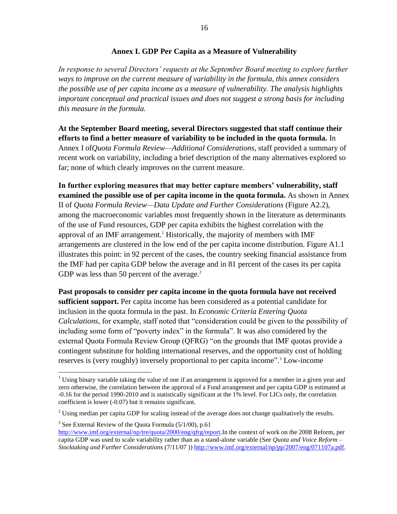### **Annex I. GDP Per Capita as a Measure of Vulnerability**

*In response to several Directors' requests at the September Board meeting to explore further ways to improve on the current measure of variability in the formula, this annex considers the possible use of per capita income as a measure of vulnerability. The analysis highlights important conceptual and practical issues and does not suggest a strong basis for including this measure in the formula.* 

**At the September Board meeting, several Directors suggested that staff continue their efforts to find a better measure of variability to be included in the quota formula.** In Annex I of*Quota Formula Review—Additional Considerations*, staff provided a summary of recent work on variability, including a brief description of the many alternatives explored so far; none of which clearly improves on the current measure.

**In further exploring measures that may better capture members' vulnerability, staff examined the possible use of per capita income in the quota formula.** As shown in Annex II of *Quota Formula Review—Data Update and Further Considerations* (Figure A2.2), among the macroeconomic variables most frequently shown in the literature as determinants of the use of Fund resources, GDP per capita exhibits the highest correlation with the approval of an IMF arrangement.<sup>1</sup> Historically, the majority of members with IMF arrangements are clustered in the low end of the per capita income distribution. Figure A1.1 illustrates this point: in 92 percent of the cases, the country seeking financial assistance from the IMF had per capita GDP below the average and in 81 percent of the cases its per capita GDP was less than 50 percent of the average. $2$ 

**Past proposals to consider per capita income in the quota formula have not received sufficient support.** Per capita income has been considered as a potential candidate for inclusion in the quota formula in the past. In *Economic Criteria Entering Quota Calculations*, for example, staff noted that "consideration could be given to the possibility of including some form of "poverty index" in the formula". It was also considered by the external Quota Formula Review Group (QFRG) "on the grounds that IMF quotas provide a contingent substitute for holding international reserves, and the opportunity cost of holding reserves is (very roughly) inversely proportional to per capita income".<sup>3</sup> Low-income

 $\overline{a}$ 

 $3$  See External Review of the Quota Formula (5/1/00), p.61 [http://www.imf.org/external/np/tre/quota/2000/eng/qfrg/report.](http://www.imf.org/external/np/tre/quota/2000/eng/qfrg/report)In the context of work on the 2008 Reform, per capita GDP was used to scale variability rather than as a stand-alone variable (See *Quota and Voice Reform – Stocktaking and Further Considerations* (7/11/07 )) [http://www.imf.org/external/np/pp/2007/eng/071107a.pdf.](http://www.imf.org/external/np/pp/2007/eng/071107a.pdf)

<sup>&</sup>lt;sup>1</sup> Using binary variable taking the value of one if an arrangement is approved for a member in a given year and zero otherwise, the correlation between the approval of a Fund arrangement and per capita GDP is estimated at -0.16 for the period 1990-2010 and is statistically significant at the 1% level. For LICs only, the correlation coefficient is lower (-0.07) but it remains significant.

<sup>&</sup>lt;sup>2</sup> Using median per capita GDP for scaling instead of the average does not change qualitatively the results.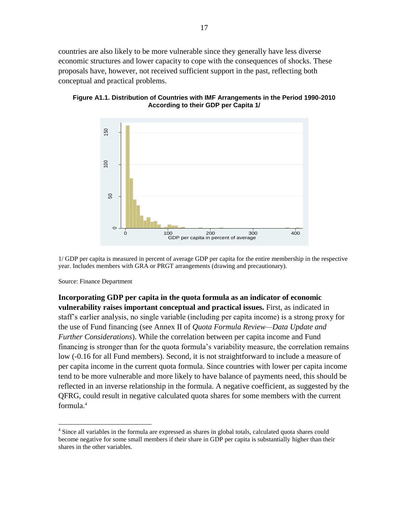countries are also likely to be more vulnerable since they generally have less diverse economic structures and lower capacity to cope with the consequences of shocks. These proposals have, however, not received sufficient support in the past, reflecting both conceptual and practical problems.



**Figure A1.1. Distribution of Countries with IMF Arrangements in the Period 1990-2010 According to their GDP per Capita 1/**

1/ GDP per capita is measured in percent of average GDP per capita for the entire membership in the respective year. Includes members with GRA or PRGT arrangements (drawing and precautionary).

Source: Finance Department

 $\overline{a}$ 

**Incorporating GDP per capita in the quota formula as an indicator of economic vulnerability raises important conceptual and practical issues.** First, as indicated in staff's earlier analysis, no single variable (including per capita income) is a strong proxy for the use of Fund financing (see Annex II of *Quota Formula Review—Data Update and Further Considerations*). While the correlation between per capita income and Fund financing is stronger than for the quota formula's variability measure, the correlation remains low (-0.16 for all Fund members). Second, it is not straightforward to include a measure of per capita income in the current quota formula. Since countries with lower per capita income tend to be more vulnerable and more likely to have balance of payments need, this should be reflected in an inverse relationship in the formula. A negative coefficient, as suggested by the QFRG, could result in negative calculated quota shares for some members with the current formula.<sup>4</sup>

<sup>&</sup>lt;sup>4</sup> Since all variables in the formula are expressed as shares in global totals, calculated quota shares could become negative for some small members if their share in GDP per capita is substantially higher than their shares in the other variables.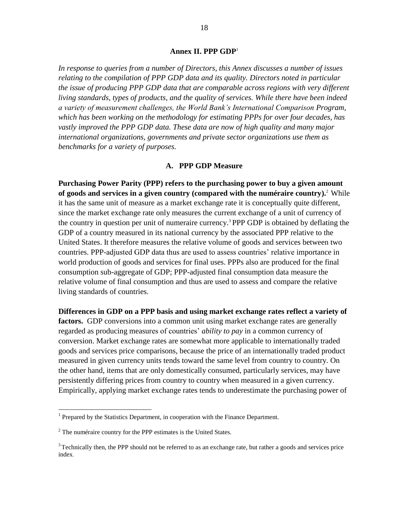#### **Annex II. PPP GDP**<sup>1</sup>

*In response to queries from a number of Directors, this Annex discusses a number of issues relating to the compilation of PPP GDP data and its quality. Directors noted in particular the issue of producing PPP GDP data that are comparable across regions with very different living standards, types of products, and the quality of services. While there have been indeed a variety of measurement challenges, the World Bank's International Comparison Program, which has been working on the methodology for estimating PPPs for over four decades, has vastly improved the PPP GDP data. These data are now of high quality and many major international organizations, governments and private sector organizations use them as benchmarks for a variety of purposes.*

### **A. PPP GDP Measure**

**Purchasing Power Parity (PPP) refers to the purchasing power to buy a given amount of goods and services in a given country (compared with the numéraire country).**<sup>2</sup> While it has the same unit of measure as a market exchange rate it is conceptually quite different, since the market exchange rate only measures the current exchange of a unit of currency of the country in question per unit of numeraire currency. <sup>3</sup> PPP GDP is obtained by deflating the GDP of a country measured in its national currency by the associated PPP relative to the United States. It therefore measures the relative volume of goods and services between two countries. PPP-adjusted GDP data thus are used to assess countries' relative importance in world production of goods and services for final uses. PPPs also are produced for the final consumption sub-aggregate of GDP; PPP-adjusted final consumption data measure the relative volume of final consumption and thus are used to assess and compare the relative living standards of countries.

**Differences in GDP on a PPP basis and using market exchange rates reflect a variety of**  factors. GDP conversions into a common unit using market exchange rates are generally regarded as producing measures of countries' *ability to pay* in a common currency of conversion. Market exchange rates are somewhat more applicable to internationally traded goods and services price comparisons, because the price of an internationally traded product measured in given currency units tends toward the same level from country to country. On the other hand, items that are only domestically consumed, particularly services, may have persistently differing prices from country to country when measured in a given currency. Empirically, applying market exchange rates tends to underestimate the purchasing power of

<sup>&</sup>lt;sup>1</sup> Prepared by the Statistics Department, in cooperation with the Finance Department.

 $2^2$  The numéraire country for the PPP estimates is the United States.

<sup>&</sup>lt;sup>3</sup> Technically then, the PPP should not be referred to as an exchange rate, but rather a goods and services price index.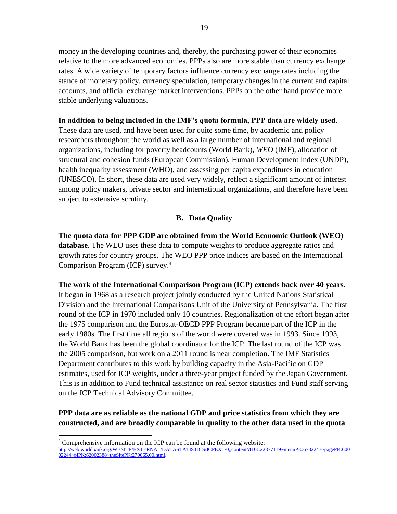money in the developing countries and, thereby, the purchasing power of their economies relative to the more advanced economies. PPPs also are more stable than currency exchange rates. A wide variety of temporary factors influence currency exchange rates including the stance of monetary policy, currency speculation, temporary changes in the current and capital accounts, and official exchange market interventions. PPPs on the other hand provide more stable underlying valuations.

### **In addition to being included in the IMF's quota formula, PPP data are widely used**.

These data are used, and have been used for quite some time, by academic and policy researchers throughout the world as well as a large number of international and regional organizations, including for poverty headcounts (World Bank), *WEO* (IMF), allocation of structural and cohesion funds (European Commission), Human Development Index (UNDP), health inequality assessment (WHO), and assessing per capita expenditures in education (UNESCO). In short, these data are used very widely, reflect a significant amount of interest among policy makers, private sector and international organizations, and therefore have been subject to extensive scrutiny.

## **B. Data Quality**

**The quota data for PPP GDP are obtained from the World Economic Outlook (WEO) database**. The WEO uses these data to compute weights to produce aggregate ratios and growth rates for country groups. The WEO PPP price indices are based on the International Comparison Program (ICP) survey.<sup>4</sup>

**The work of the International Comparison Program (ICP) extends back over 40 years.**  It began in 1968 as a research project jointly conducted by the United Nations Statistical Division and the International Comparisons Unit of the University of Pennsylvania. The first round of the ICP in 1970 included only 10 countries. Regionalization of the effort began after the 1975 comparison and the Eurostat-OECD PPP Program became part of the ICP in the early 1980s. The first time all regions of the world were covered was in 1993. Since 1993, the World Bank has been the global coordinator for the ICP. The last round of the ICP was the 2005 comparison, but work on a 2011 round is near completion. The IMF Statistics Department contributes to this work by building capacity in the Asia-Pacific on GDP estimates, used for ICP weights, under a three-year project funded by the Japan Government. This is in addition to Fund technical assistance on real sector statistics and Fund staff serving on the ICP Technical Advisory Committee.

## **PPP data are as reliable as the national GDP and price statistics from which they are constructed, and are broadly comparable in quality to the other data used in the quota**

<sup>4</sup> Comprehensive information on the ICP can be found at the following website:

[http://web.worldbank.org/WBSITE/EXTERNAL/DATASTATISTICS/ICPEXT/0,,contentMDK:22377119~menuPK:6782247~pagePK:600](http://web.worldbank.org/WBSITE/EXTERNAL/DATASTATISTICS/ICPEXT/0,,contentMDK:22377119~menuPK:6782247~pagePK:60002244~piPK:62002388~theSitePK:270065,00.html) [02244~piPK:62002388~theSitePK:270065,00.html.](http://web.worldbank.org/WBSITE/EXTERNAL/DATASTATISTICS/ICPEXT/0,,contentMDK:22377119~menuPK:6782247~pagePK:60002244~piPK:62002388~theSitePK:270065,00.html)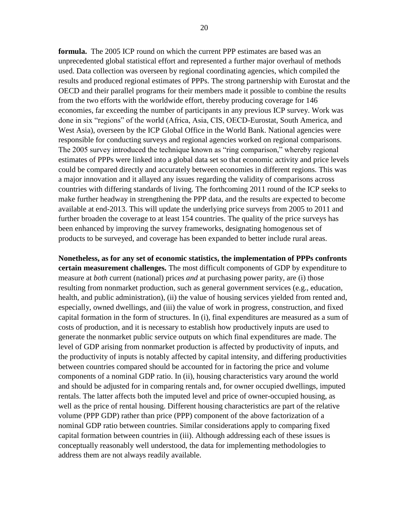**formula.** The 2005 ICP round on which the current PPP estimates are based was an unprecedented global statistical effort and represented a further major overhaul of methods used. Data collection was overseen by regional coordinating agencies, which compiled the results and produced regional estimates of PPPs. The strong partnership with Eurostat and the OECD and their parallel programs for their members made it possible to combine the results from the two efforts with the worldwide effort, thereby producing coverage for 146 economies, far exceeding the number of participants in any previous ICP survey. Work was done in six "regions" of the world (Africa, Asia, CIS, OECD-Eurostat, South America, and West Asia), overseen by the ICP Global Office in the World Bank. National agencies were responsible for conducting surveys and regional agencies worked on regional comparisons. The 2005 survey introduced the technique known as "ring comparison," whereby regional estimates of PPPs were linked into a global data set so that economic activity and price levels could be compared directly and accurately between economies in different regions. This was a major innovation and it allayed any issues regarding the validity of comparisons across countries with differing standards of living. The forthcoming 2011 round of the ICP seeks to make further headway in strengthening the PPP data, and the results are expected to become available at end-2013. This will update the underlying price surveys from 2005 to 2011 and further broaden the coverage to at least 154 countries. The quality of the price surveys has been enhanced by improving the survey frameworks, designating homogenous set of products to be surveyed, and coverage has been expanded to better include rural areas.

**Nonetheless, as for any set of economic statistics, the implementation of PPPs confronts certain measurement challenges.** The most difficult components of GDP by expenditure to measure at *both* current (national) prices *and* at purchasing power parity, are (i) those resulting from nonmarket production, such as general government services (e.g., education, health, and public administration), (ii) the value of housing services yielded from rented and, especially, owned dwellings, and (iii) the value of work in progress, construction, and fixed capital formation in the form of structures. In (i), final expenditures are measured as a sum of costs of production, and it is necessary to establish how productively inputs are used to generate the nonmarket public service outputs on which final expenditures are made. The level of GDP arising from nonmarket production is affected by productivity of inputs, and the productivity of inputs is notably affected by capital intensity, and differing productivities between countries compared should be accounted for in factoring the price and volume components of a nominal GDP ratio. In (ii), housing characteristics vary around the world and should be adjusted for in comparing rentals and, for owner occupied dwellings, imputed rentals. The latter affects both the imputed level and price of owner-occupied housing, as well as the price of rental housing. Different housing characteristics are part of the relative volume (PPP GDP) rather than price (PPP) component of the above factorization of a nominal GDP ratio between countries. Similar considerations apply to comparing fixed capital formation between countries in (iii). Although addressing each of these issues is conceptually reasonably well understood, the data for implementing methodologies to address them are not always readily available.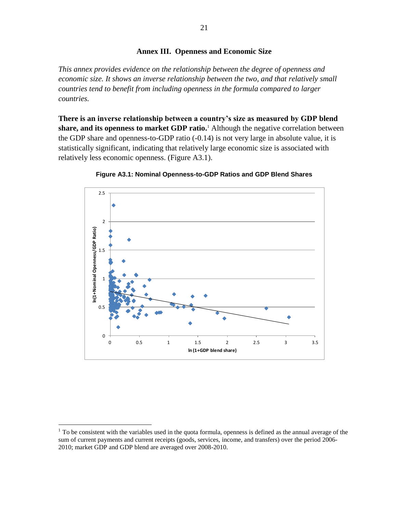### **Annex III. Openness and Economic Size**

*This annex provides evidence on the relationship between the degree of openness and economic size. It shows an inverse relationship between the two, and that relatively small countries tend to benefit from including openness in the formula compared to larger countries.*

**There is an inverse relationship between a country's size as measured by GDP blend**  share, and its openness to market GDP ratio.<sup>1</sup> Although the negative correlation between the GDP share and openness-to-GDP ratio (-0.14) is not very large in absolute value, it is statistically significant, indicating that relatively large economic size is associated with relatively less economic openness. (Figure A3.1).



**Figure A3.1: Nominal Openness-to-GDP Ratios and GDP Blend Shares**

 $1$  To be consistent with the variables used in the quota formula, openness is defined as the annual average of the sum of current payments and current receipts (goods, services, income, and transfers) over the period 2006- 2010; market GDP and GDP blend are averaged over 2008-2010.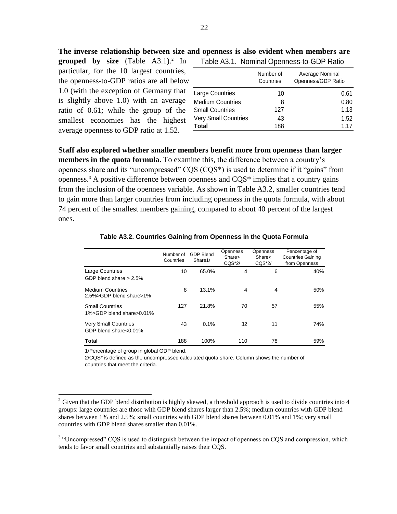**The inverse relationship between size and openness is also evident when members are** 

**grouped by size** (Table A3.1).<sup>2</sup> In particular, for the 10 largest countries, the openness-to-GDP ratios are all below 1.0 (with the exception of Germany that is slightly above 1.0) with an average ratio of 0.61; while the group of the smallest economies has the highest average openness to GDP ratio at 1.52.

| Table A3.1. Nominal Openness-to-GDP Ratio |                        |                                       |  |  |  |  |  |  |
|-------------------------------------------|------------------------|---------------------------------------|--|--|--|--|--|--|
|                                           | Number of<br>Countries | Average Nominal<br>Openness/GDP Ratio |  |  |  |  |  |  |
| Large Countries                           | 10                     | 0.61                                  |  |  |  |  |  |  |
| <b>Medium Countries</b>                   | 8                      | 0.80                                  |  |  |  |  |  |  |
| <b>Small Countries</b>                    | 127                    | 1.13                                  |  |  |  |  |  |  |
| <b>Very Small Countries</b>               | 43                     | 1.52                                  |  |  |  |  |  |  |
| <b>Total</b>                              | 188                    | 1.17                                  |  |  |  |  |  |  |

**Staff also explored whether smaller members benefit more from openness than larger members in the quota formula.** To examine this, the difference between a country's openness share and its "uncompressed"  $CQS (CQS^*)$  is used to determine if it "gains" from openness.<sup>3</sup> A positive difference between openness and CQS\* implies that a country gains from the inclusion of the openness variable. As shown in Table A3.2, smaller countries tend to gain more than larger countries from including openness in the quota formula, with about 74 percent of the smallest members gaining, compared to about 40 percent of the largest ones.

|                                                      | Number of<br>Countries | <b>GDP Blend</b><br>Share1/ | <b>Openness</b><br>Share><br>$CQS*2/$ | Openness<br>Share<<br>$CQS*2/$ | Pencentage of<br><b>Countries Gaining</b><br>from Openness |
|------------------------------------------------------|------------------------|-----------------------------|---------------------------------------|--------------------------------|------------------------------------------------------------|
| <b>Large Countries</b><br>GDP blend share $> 2.5\%$  | 10                     | 65.0%                       | 4                                     | 6                              | 40%                                                        |
| <b>Medium Countries</b><br>2.5%>GDP blend share>1%   | 8                      | 13.1%                       | 4                                     | $\overline{4}$                 | 50%                                                        |
| <b>Small Countries</b><br>1%>GDP blend share>0.01%   | 127                    | 21.8%                       | 70                                    | 57                             | 55%                                                        |
| <b>Very Small Countries</b><br>GDP blend share<0.01% | 43                     | 0.1%                        | 32                                    | 11                             | 74%                                                        |
| Total                                                | 188                    | 100%                        | 110                                   | 78                             | 59%                                                        |

#### **Table A3.2. Countries Gaining from Openness in the Quota Formula**

1/Percentage of group in global GDP blend.

 $\overline{a}$ 

2/CQS\* is defined as the uncompressed calculated quota share. Column shows the number of countries that meet the criteria.

 $2$  Given that the GDP blend distribution is highly skewed, a threshold approach is used to divide countries into 4 groups: large countries are those with GDP blend shares larger than 2.5%; medium countries with GDP blend shares between 1% and 2.5%; small countries with GDP blend shares between 0.01% and 1%; very small countries with GDP blend shares smaller than 0.01%.

<sup>&</sup>lt;sup>3</sup> "Uncompressed" CQS is used to distinguish between the impact of openness on CQS and compression, which tends to favor small countries and substantially raises their CQS.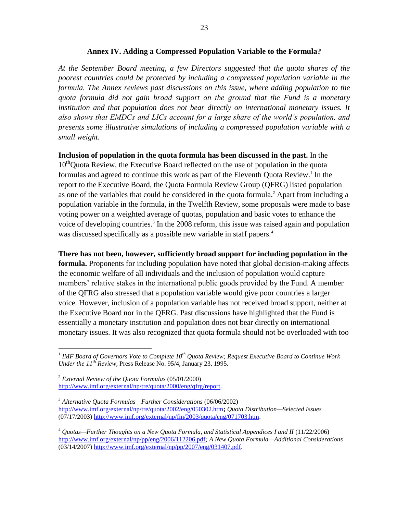#### **Annex IV. Adding a Compressed Population Variable to the Formula?**

*At the September Board meeting, a few Directors suggested that the quota shares of the poorest countries could be protected by including a compressed population variable in the formula. The Annex reviews past discussions on this issue, where adding population to the quota formula did not gain broad support on the ground that the Fund is a monetary*  institution and that population does not bear directly on international monetary issues. It *also shows that EMDCs and LICs account for a large share of the world's population, and presents some illustrative simulations of including a compressed population variable with a small weight.* 

**Inclusion of population in the quota formula has been discussed in the past.** In the 10<sup>th</sup>Quota Review, the Executive Board reflected on the use of population in the quota formulas and agreed to continue this work as part of the Eleventh Quota Review. 1 In the report to the Executive Board, the Quota Formula Review Group (QFRG) listed population as one of the variables that could be considered in the quota formula.<sup>2</sup> Apart from including a population variable in the formula, in the Twelfth Review, some proposals were made to base voting power on a weighted average of quotas, population and basic votes to enhance the voice of developing countries. 3 In the 2008 reform, this issue was raised again and population was discussed specifically as a possible new variable in staff papers.<sup>4</sup>

**There has not been, however, sufficiently broad support for including population in the formula.** Proponents for including population have noted that global decision-making affects the economic welfare of all individuals and the inclusion of population would capture members' relative stakes in the international public goods provided by the Fund. A member of the QFRG also stressed that a population variable would give poor countries a larger voice. However, inclusion of a population variable has not received broad support, neither at the Executive Board nor in the QFRG. Past discussions have highlighted that the Fund is essentially a monetary institution and population does not bear directly on international monetary issues. It was also recognized that quota formula should not be overloaded with too

 1 *IMF Board of Governors Vote to Complete 10th Quota Review; Request Executive Board to Continue Work Under the 11th Review,* Press Release No. 95/4, January 23, 1995.

<sup>2</sup> *External Review of the Quota Formulas* (05/01/2000) [http://www.imf.org/external/np/tre/quota/2000/eng/qfrg/report.](http://www.imf.org/external/np/tre/quota/2000/eng/qfrg/report)

<sup>3</sup> *Alternative Quota Formulas—Further Considerations* (06/06/2002) <http://www.imf.org/external/np/tre/quota/2002/eng/050302.htm>**;** *Quota Distribution—Selected Issues*   $\frac{1}{(07/17/2003)}$  [http://www.imf.org/external/np/fin/2003/quota/eng/071703.htm.](http://www.imf.org/external/np/fin/2003/quota/eng/071703.htm)

<sup>&</sup>lt;sup>4</sup> *Ouotas—Further Thoughts on a New Quota Formula, and Statistical Appendices I and II* (11/22/2006) <http://www.imf.org/external/np/pp/eng/2006/112206.pdf>*; A New Quota Formula—Additional Considerations*  $\frac{1}{(03/14/2007)}$  [http://www.imf.org/external/np/pp/2007/eng/031407.pdf.](http://www.imf.org/external/np/pp/2007/eng/031407.pdf)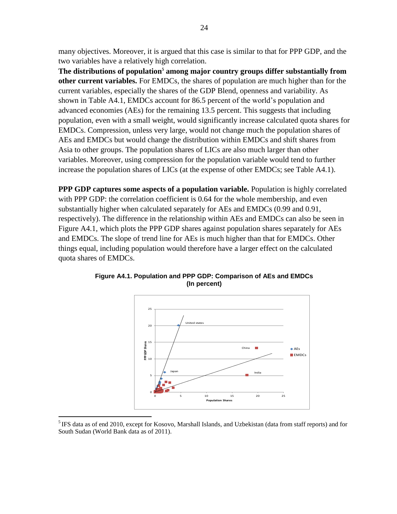many objectives. Moreover, it is argued that this case is similar to that for PPP GDP, and the two variables have a relatively high correlation.

**The distributions of population<sup>5</sup> among major country groups differ substantially from other current variables.** For EMDCs, the shares of population are much higher than for the current variables, especially the shares of the GDP Blend, openness and variability. As shown in Table A4.1, EMDCs account for 86.5 percent of the world's population and advanced economies (AEs) for the remaining 13.5 percent. This suggests that including population, even with a small weight, would significantly increase calculated quota shares for EMDCs. Compression, unless very large, would not change much the population shares of AEs and EMDCs but would change the distribution within EMDCs and shift shares from Asia to other groups. The population shares of LICs are also much larger than other variables. Moreover, using compression for the population variable would tend to further increase the population shares of LICs (at the expense of other EMDCs; see Table A4.1).

**PPP GDP captures some aspects of a population variable.** Population is highly correlated with PPP GDP: the correlation coefficient is 0.64 for the whole membership, and even substantially higher when calculated separately for AEs and EMDCs (0.99 and 0.91, respectively). The difference in the relationship within AEs and EMDCs can also be seen in Figure A4.1, which plots the PPP GDP shares against population shares separately for AEs and EMDCs. The slope of trend line for AEs is much higher than that for EMDCs. Other things equal, including population would therefore have a larger effect on the calculated quota shares of EMDCs.



**Figure A4.1. Population and PPP GDP: Comparison of AEs and EMDCs (In percent)**

<sup>&</sup>lt;sup>5</sup> IFS data as of end 2010, except for Kosovo, Marshall Islands, and Uzbekistan (data from staff reports) and for South Sudan (World Bank data as of 2011).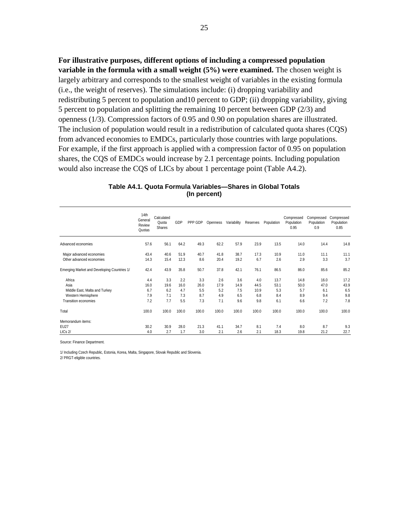**For illustrative purposes, different options of including a compressed population variable in the formula with a small weight (5%) were examined.** The chosen weight is largely arbitrary and corresponds to the smallest weight of variables in the existing formula (i.e., the weight of reserves). The simulations include: (i) dropping variability and redistributing 5 percent to population and10 percent to GDP; (ii) dropping variability, giving 5 percent to population and splitting the remaining 10 percent between GDP (2/3) and openness (1/3). Compression factors of 0.95 and 0.90 on population shares are illustrated. The inclusion of population would result in a redistribution of calculated quota shares (CQS) from advanced economies to EMDCs, particularly those countries with large populations. For example, if the first approach is applied with a compression factor of 0.95 on population shares, the CQS of EMDCs would increase by 2.1 percentage points. Including population would also increase the CQS of LICs by about 1 percentage point (Table A4.2).

25

|                                             | 14 <sup>th</sup><br>General<br>Review<br>Quotas | Calculated<br>Quota<br><b>Shares</b> | GDP   | PPP GDP | Openness | Variability | Reserves | Population | Compressed<br>Population<br>0.95 | Compressed<br>Population<br>0.9 | Compressed<br>Population<br>0.85 |
|---------------------------------------------|-------------------------------------------------|--------------------------------------|-------|---------|----------|-------------|----------|------------|----------------------------------|---------------------------------|----------------------------------|
| Advanced economies                          | 57.6                                            | 56.1                                 | 64.2  | 49.3    | 62.2     | 57.9        | 23.9     | 13.5       | 14.0                             | 14.4                            | 14.8                             |
| Major advanced economies                    | 43.4                                            | 40.6                                 | 51.9  | 40.7    | 41.8     | 38.7        | 17.3     | 10.9       | 11.0                             | 11.1                            | 11.1                             |
| Other advanced economies                    | 14.3                                            | 15.4                                 | 12.3  | 8.6     | 20.4     | 19.2        | 6.7      | 2.6        | 2.9                              | 3.3                             | 3.7                              |
| Emerging Market and Developing Countries 1/ | 42.4                                            | 43.9                                 | 35.8  | 50.7    | 37.8     | 42.1        | 76.1     | 86.5       | 86.0                             | 85.6                            | 85.2                             |
| Africa                                      | 4.4                                             | 3.3                                  | 2.2   | 3.3     | 2.6      | 3.6         | 4.0      | 13.7       | 14.8                             | 16.0                            | 17.2                             |
| Asia                                        | 16.0                                            | 19.6                                 | 16.0  | 26.0    | 17.9     | 14.9        | 44.5     | 53.1       | 50.0                             | 47.0                            | 43.9                             |
| Middle East, Malta and Turkey               | 6.7                                             | 6.2                                  | 4.7   | 5.5     | 5.2      | 7.5         | 10.9     | 5.3        | 5.7                              | 6.1                             | 6.5                              |
| Western Hemisphere                          | 7.9                                             | 7.1                                  | 7.3   | 8.7     | 4.9      | 6.5         | 6.8      | 8.4        | 8.9                              | 9.4                             | 9.8                              |
| <b>Transition economies</b>                 | 7.2                                             | 7.7                                  | 5.5   | 7.3     | 7.1      | 9.6         | 9.8      | 6.1        | 6.6                              | 7.2                             | 7.8                              |
| Total                                       | 100.0                                           | 100.0                                | 100.0 | 100.0   | 100.0    | 100.0       | 100.0    | 100.0      | 100.0                            | 100.0                           | 100.0                            |
| Memorandum items:                           |                                                 |                                      |       |         |          |             |          |            |                                  |                                 |                                  |
| <b>EU27</b>                                 | 30.2                                            | 30.9                                 | 28.0  | 21.3    | 41.1     | 34.7        | 8.1      | 7.4        | 8.0                              | 8.7                             | 9.3                              |
| LICs 2/                                     | 4.0                                             | 2.7                                  | 1.7   | 3.0     | 2.1      | 2.6         | 2.1      | 18.3       | 19.8                             | 21.2                            | 22.7                             |

| Table A4.1. Quota Formula Variables-Shares in Global Totals |  |
|-------------------------------------------------------------|--|
| (In percent)                                                |  |

Source: Finance Department.

1/ Including Czech Republic, Estonia, Korea, Malta, Singapore, Slovak Republic and Slovenia. 2/ PRGT-eligible countries.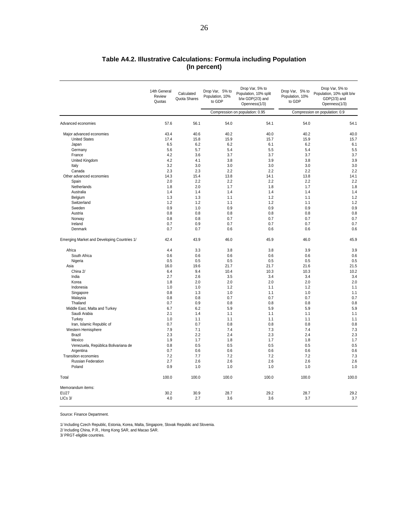#### **Table A4.2. Illustrative Calculations: Formula including Population (In percent)**

|                                             | 14th General<br>Review<br>Quotas | Calculated<br>Quota Shares | Drop Var, 5% to<br>Population, 10%<br>to GDP | Drop Var, 5% to<br>Population, 10% split<br>$b/w$ GDP $(2/3)$ and<br>Openness(1/3) | Drop Var, 5% to<br>Population, 10%<br>to GDP | Drop Var, 5% to<br>Population, 10% split b/w<br>$GDP(2/3)$ and<br>Openness(1/3) |
|---------------------------------------------|----------------------------------|----------------------------|----------------------------------------------|------------------------------------------------------------------------------------|----------------------------------------------|---------------------------------------------------------------------------------|
|                                             |                                  |                            |                                              | Compression on population: 0.95                                                    | Compression on population: 0.9               |                                                                                 |
| Advanced economies                          | 57.6                             | 56.1                       | 54.0                                         | 54.1                                                                               | 54.0                                         | 54.1                                                                            |
| Major advanced economies                    | 43.4                             | 40.6                       | 40.2                                         | 40.0                                                                               | 40.2                                         | 40.0                                                                            |
| <b>United States</b>                        | 17.4                             | 15.8                       | 15.9                                         | 15.7                                                                               | 15.9                                         | 15.7                                                                            |
| Japan                                       | 6.5                              | 6.2                        | 6.2                                          | 6.1                                                                                | 6.2                                          | 6.1                                                                             |
| Germany                                     | 5.6                              | 5.7                        | 5.4                                          | 5.5                                                                                | 5.4                                          | 5.5                                                                             |
| France                                      | 4.2                              | 3.6                        | 3.7                                          | 3.7                                                                                | 3.7                                          | 3.7                                                                             |
| United Kingdom                              | 4.2                              | 4.1                        | 3.8                                          | 3.9                                                                                | 3.8                                          | 3.9                                                                             |
| Italy                                       | 3.2                              | 3.0                        | 3.0                                          | 3.0                                                                                | 3.0                                          | 3.0                                                                             |
| Canada                                      | 2.3                              | 2.3                        | 2.2                                          | 2.2                                                                                | 2.2                                          | 2.2                                                                             |
| Other advanced economies                    | 14.3                             | 15.4                       | 13.8                                         | 14.1                                                                               | 13.8                                         | 14.1                                                                            |
| Spain                                       | 2.0                              | 2.2                        | 2.2                                          | 2.2                                                                                | 2.2                                          | 2.2                                                                             |
| Netherlands                                 | 1.8                              | 2.0                        | 1.7                                          | 1.8                                                                                | 1.7                                          | 1.8                                                                             |
| Australia                                   | 1.4                              | 1.4                        | 1.4                                          | 1.4                                                                                | 1.4                                          | 1.4                                                                             |
| Belgium                                     | 1.3                              | 1.3                        | 1.1                                          | 1.2                                                                                | 1.1                                          | 1.2                                                                             |
| Switzerland                                 | 1.2                              | 1.2                        | 1.1                                          | 1.2                                                                                | 1.1                                          | 1.2                                                                             |
| Sweden                                      | 0.9                              | 1.0                        | 0.9                                          | 0.9                                                                                | 0.9                                          | 0.9                                                                             |
| Austria                                     | 0.8                              | 0.8                        | 0.8                                          | 0.8                                                                                | 0.8                                          | 0.8                                                                             |
| Norway                                      | 0.8                              | 0.8                        | 0.7                                          | 0.7                                                                                | 0.7                                          | 0.7                                                                             |
| Ireland                                     | 0.7                              | 0.9                        | 0.7                                          | 0.7                                                                                | 0.7                                          | 0.7                                                                             |
| Denmark                                     | 0.7                              | 0.7                        | 0.6                                          | 0.6                                                                                | 0.6                                          | 0.6                                                                             |
| Emerging Market and Developing Countries 1/ | 42.4                             | 43.9                       | 46.0                                         | 45.9                                                                               | 46.0                                         | 45.9                                                                            |
| Africa                                      | 4.4                              | 3.3                        | 3.8                                          | 3.8                                                                                | 3.9                                          | 3.9                                                                             |
| South Africa                                | 0.6                              | 0.6                        | 0.6                                          | 0.6                                                                                | 0.6                                          | 0.6                                                                             |
| Nigeria                                     | 0.5                              | 0.5                        | 0.5                                          | 0.5                                                                                | 0.5                                          | 0.5                                                                             |
| Asia                                        | 16.0                             | 19.6                       | 21.7                                         | 21.7                                                                               | 21.6                                         | 21.5                                                                            |
| China 2/                                    | 6.4                              | 9.4                        | 10.4                                         | 10.3                                                                               | 10.3                                         | 10.2                                                                            |
| India                                       | 2.7                              | 2.6                        | 3.5                                          | 3.4                                                                                | 3.4                                          | 3.4                                                                             |
| Korea                                       | 1.8                              | 2.0                        | 2.0                                          | 2.0                                                                                | 2.0                                          | 2.0                                                                             |
| Indonesia                                   | 1.0                              | 1.0                        | 1.2                                          | 1.1                                                                                | 1.2                                          | 1.1                                                                             |
| Singapore                                   | 0.8                              | 1.3                        | 1.0                                          | 1.1                                                                                | 1.0                                          | 1.1                                                                             |
| Malaysia                                    | 0.8                              | 0.8                        | 0.7                                          | 0.7                                                                                | 0.7                                          | 0.7                                                                             |
| Thailand                                    | 0.7                              | 0.9                        | 0.8                                          | 0.8                                                                                | 0.8                                          | 0.8                                                                             |
| Middle East, Malta and Turkey               | 6.7                              | 6.2                        | 5.9                                          | 5.9                                                                                | 5.9                                          | 5.9                                                                             |
| Saudi Arabia                                | 2.1                              | 1.4                        | 1.1                                          | 1.1                                                                                | 1.1                                          | 1.1                                                                             |
| Turkey                                      | 1.0                              | 1.1                        | 1.1                                          | 1.1                                                                                | 1.1                                          | 1.1                                                                             |
| Iran, Islamic Republic of                   | 0.7                              | 0.7                        | 0.8                                          | 0.8                                                                                | 0.8                                          | 0.8                                                                             |
| Western Hemisphere                          | 7.9                              | 7.1                        | 7.4                                          | 7.3                                                                                | 7.4                                          | 7.3                                                                             |
| <b>Brazil</b>                               | 2.3                              | 2.2                        | 2.4                                          | 2.3                                                                                | 2.4                                          | 2.3                                                                             |
| Mexico                                      | 1.9                              | 1.7                        | 1.8                                          | 1.7                                                                                | 1.8                                          | 1.7                                                                             |
| Venezuela, República Bolivariana de         | 0.8                              | 0.5                        | 0.5                                          | 0.5                                                                                | 0.5                                          | 0.5                                                                             |
| Argentina                                   | 0.7                              | 0.6                        | 0.6                                          | 0.6                                                                                | 0.6                                          | 0.6                                                                             |
| <b>Transition economies</b>                 | 7.2                              | 7.7                        | 7.2                                          | 7.2                                                                                | 7.2                                          | 7.3                                                                             |
| <b>Russian Federation</b>                   | 2.7                              | 2.6                        | 2.6                                          | 2.6                                                                                | 2.6                                          | 2.6                                                                             |
| Poland                                      | 0.9                              | 1.0                        | 1.0                                          | 1.0                                                                                | 1.0                                          | 1.0                                                                             |
| Total                                       | 100.0                            | 100.0                      | 100.0                                        | 100.0                                                                              | 100.0                                        | 100.0                                                                           |
| Memorandum items:                           |                                  |                            |                                              |                                                                                    |                                              |                                                                                 |
| <b>EU27</b>                                 | 30.2                             | 30.9                       | 28.7                                         | 29.2                                                                               | 28.7                                         | 29.2                                                                            |
| LICs 3/                                     | 4.0                              | 2.7                        | 3.6                                          | 3.6                                                                                | 3.7                                          | 3.7                                                                             |

Source: Finance Department.

1/ Including Czech Republic, Estonia, Korea, Malta, Singapore, Slovak Republic and Slovenia.

2/ Including China, P.R., Hong Kong SAR, and Macao SAR.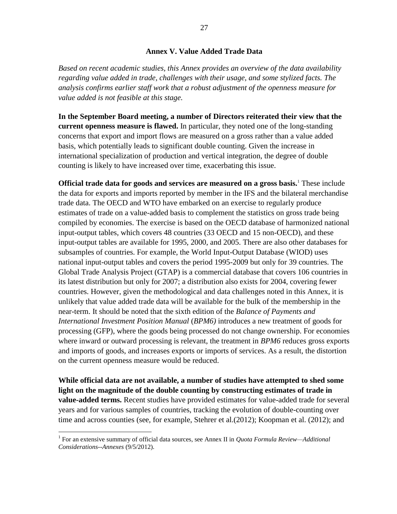### **Annex V. Value Added Trade Data**

*Based on recent academic studies, this Annex provides an overview of the data availability regarding value added in trade, challenges with their usage, and some stylized facts. The analysis confirms earlier staff work that a robust adjustment of the openness measure for value added is not feasible at this stage.*

**In the September Board meeting, a number of Directors reiterated their view that the current openness measure is flawed.** In particular, they noted one of the long-standing concerns that export and import flows are measured on a gross rather than a value added basis, which potentially leads to significant double counting. Given the increase in international specialization of production and vertical integration, the degree of double counting is likely to have increased over time, exacerbating this issue.

**Official trade data for goods and services are measured on a gross basis.**<sup>1</sup> These include the data for exports and imports reported by member in the IFS and the bilateral merchandise trade data. The OECD and WTO have embarked on an exercise to regularly produce estimates of trade on a value-added basis to complement the statistics on gross trade being compiled by economies. The exercise is based on the OECD database of harmonized national input-output tables, which covers 48 countries (33 OECD and 15 non-OECD), and these input-output tables are available for 1995, 2000, and 2005. There are also other databases for subsamples of countries. For example, the World Input-Output Database (WIOD) uses national input-output tables and covers the period 1995-2009 but only for 39 countries. The Global Trade Analysis Project (GTAP) is a commercial database that covers 106 countries in its latest distribution but only for 2007; a distribution also exists for 2004, covering fewer countries. However, given the methodological and data challenges noted in this Annex, it is unlikely that value added trade data will be available for the bulk of the membership in the near-term. It should be noted that the sixth edition of the *Balance of Payments and International Investment Position Manual* (*BPM6)* introduces a new treatment of goods for processing (GFP), where the goods being processed do not change ownership. For economies where inward or outward processing is relevant, the treatment in *BPM6* reduces gross exports and imports of goods, and increases exports or imports of services. As a result, the distortion on the current openness measure would be reduced.

**While official data are not available, a number of studies have attempted to shed some light on the magnitude of the double counting by constructing estimates of trade in value-added terms.** Recent studies have provided estimates for value-added trade for several years and for various samples of countries, tracking the evolution of double-counting over time and across counties (see, for example, Stehrer et al.(2012); Koopman et al. (2012); and

<sup>&</sup>lt;sup>1</sup> For an extensive summary of official data sources, see Annex II in *Quota Formula Review—Additional Considerations--Annexes* (9/5/2012).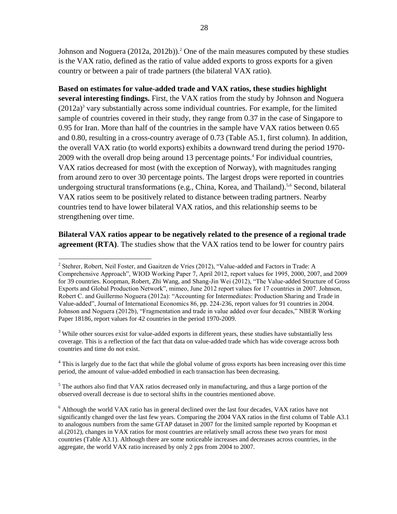Johnson and Noguera  $(2012a, 2012b)$ .<sup>2</sup> One of the main measures computed by these studies is the VAX ratio, defined as the ratio of value added exports to gross exports for a given country or between a pair of trade partners (the bilateral VAX ratio).

**Based on estimates for value-added trade and VAX ratios, these studies highlight several interesting findings.** First, the VAX ratios from the study by Johnson and Noguera  $(2012a)^3$  vary substantially across some individual countries. For example, for the limited sample of countries covered in their study, they range from 0.37 in the case of Singapore to 0.95 for Iran. More than half of the countries in the sample have VAX ratios between 0.65 and 0.80, resulting in a cross-country average of 0.73 (Table A5.1, first column). In addition, the overall VAX ratio (to world exports) exhibits a downward trend during the period 1970- 2009 with the overall drop being around 13 percentage points. <sup>4</sup> For individual countries, VAX ratios decreased for most (with the exception of Norway), with magnitudes ranging from around zero to over 30 percentage points. The largest drops were reported in countries undergoing structural transformations (e.g., China, Korea, and Thailand).<sup>5,6</sup> Second, bilateral VAX ratios seem to be positively related to distance between trading partners. Nearby countries tend to have lower bilateral VAX ratios, and this relationship seems to be strengthening over time.

### **Bilateral VAX ratios appear to be negatively related to the presence of a regional trade agreement (RTA)**. The studies show that the VAX ratios tend to be lower for country pairs

<sup>3</sup> While other sources exist for value-added exports in different years, these studies have substantially less coverage. This is a reflection of the fact that data on value-added trade which has wide coverage across both countries and time do not exist.

 $4$  This is largely due to the fact that while the global volume of gross exports has been increasing over this time period, the amount of value-added embodied in each transaction has been decreasing.

 $<sup>5</sup>$  The authors also find that VAX ratios decreased only in manufacturing, and thus a large portion of the</sup> observed overall decrease is due to sectoral shifts in the countries mentioned above.

 $\overline{a}$ <sup>2</sup> Stehrer, Robert, Neil Foster, and Gaaitzen de Vries (2012), "Value-added and Factors in Trade: A Comprehensive Approach", WIOD Working Paper 7, April 2012, report values for 1995, 2000, 2007, and 2009 for 39 countries. Koopman, Robert, Zhi Wang, and Shang-Jin Wei (2012), "The Value-added Structure of Gross Exports and Global Production Network", mimeo, June 2012 report values for 17 countries in 2007. Johnson, Robert C. and Guillermo Noguera (2012a): "Accounting for Intermediates: Production Sharing and Trade in Value-added‖, Journal of International Economics 86, pp. 224-236, report values for 91 countries in 2004. Johnson and Noguera (2012b), "Fragmentation and trade in value added over four decades," NBER Working Paper 18186, report values for 42 countries in the period 1970-2009.

<sup>6</sup> Although the world VAX ratio has in general declined over the last four decades, VAX ratios have not significantly changed over the last few years. Comparing the 2004 VAX ratios in the first column of Table A3.1 to analogous numbers from the same GTAP dataset in 2007 for the limited sample reported by Koopman et al.(2012), changes in VAX ratios for most countries are relatively small across these two years for most countries (Table A3.1). Although there are some noticeable increases and decreases across countries, in the aggregate, the world VAX ratio increased by only 2 pps from 2004 to 2007.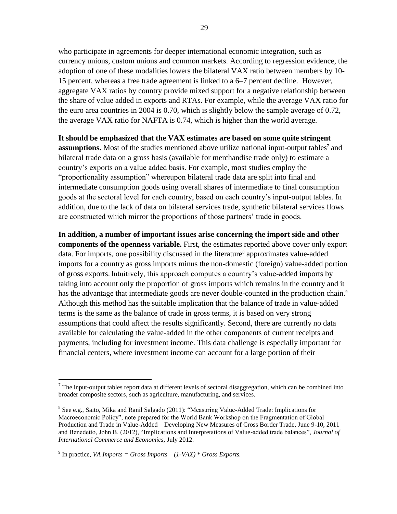who participate in agreements for deeper international economic integration, such as currency unions, custom unions and common markets. According to regression evidence, the adoption of one of these modalities lowers the bilateral VAX ratio between members by 10- 15 percent, whereas a free trade agreement is linked to a 6–7 percent decline. However, aggregate VAX ratios by country provide mixed support for a negative relationship between the share of value added in exports and RTAs. For example, while the average VAX ratio for the euro area countries in 2004 is 0.70, which is slightly below the sample average of 0.72, the average VAX ratio for NAFTA is 0.74, which is higher than the world average.

#### **It should be emphasized that the VAX estimates are based on some quite stringent**

**assumptions.** Most of the studies mentioned above utilize national input-output tables<sup>7</sup> and bilateral trade data on a gross basis (available for merchandise trade only) to estimate a country's exports on a value added basis. For example, most studies employ the "proportionality assumption" whereupon bilateral trade data are split into final and intermediate consumption goods using overall shares of intermediate to final consumption goods at the sectoral level for each country, based on each country's input-output tables. In addition, due to the lack of data on bilateral services trade, synthetic bilateral services flows are constructed which mirror the proportions of those partners' trade in goods.

**In addition, a number of important issues arise concerning the import side and other components of the openness variable.** First, the estimates reported above cover only export data. For imports, one possibility discussed in the literature<sup>8</sup> approximates value-added imports for a country as gross imports minus the non-domestic (foreign) value-added portion of gross exports.Intuitively, this approach computes a country's value-added imports by taking into account only the proportion of gross imports which remains in the country and it has the advantage that intermediate goods are never double-counted in the production chain.<sup>9</sup> Although this method has the suitable implication that the balance of trade in value-added terms is the same as the balance of trade in gross terms, it is based on very strong assumptions that could affect the results significantly. Second, there are currently no data available for calculating the value-added in the other components of current receipts and payments, including for investment income. This data challenge is especially important for financial centers, where investment income can account for a large portion of their

 $<sup>7</sup>$  The input-output tables report data at different levels of sectoral disaggregation, which can be combined into</sup> broader composite sectors, such as agriculture, manufacturing, and services.

<sup>&</sup>lt;sup>8</sup> See e.g., Saito, Mika and Ranil Salgado (2011): "Measuring Value-Added Trade: Implications for Macroeconomic Policy", note prepared for the World Bank Workshop on the Fragmentation of Global Production and Trade in Value-Added—Developing New Measures of Cross Border Trade, June 9-10, 2011 and Benedetto, John B. (2012), "Implications and Interpretations of Value-added trade balances", *Journal of International Commerce and Economics,* July 2012.

<sup>&</sup>lt;sup>9</sup> In practice, *VA Imports = Gross Imports –*  $(1-VAX)$  *\* Gross Exports.*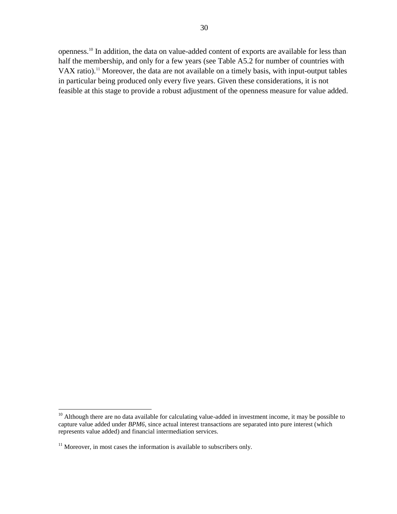openness.<sup>10</sup> In addition, the data on value-added content of exports are available for less than half the membership, and only for a few years (see Table A5.2 for number of countries with VAX ratio). <sup>11</sup> Moreover, the data are not available on a timely basis, with input-output tables in particular being produced only every five years. Given these considerations, it is not feasible at this stage to provide a robust adjustment of the openness measure for value added.

 $10$  Although there are no data available for calculating value-added in investment income, it may be possible to capture value added under *BPM6*, since actual interest transactions are separated into pure interest (which represents value added) and financial intermediation services.

 $11$  Moreover, in most cases the information is available to subscribers only.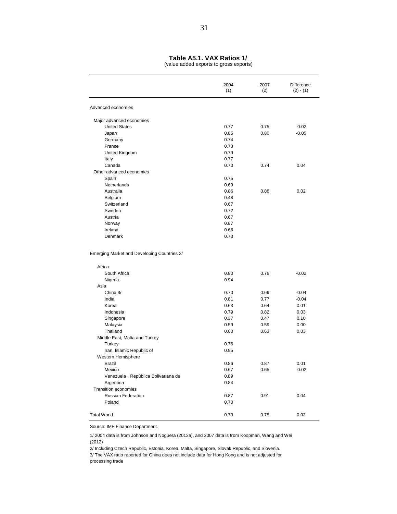#### **Table A5.1. VAX Ratios 1/**

(value added exports to gross exports)

|                                                       | 2004<br>(1) | 2007<br>(2) | Difference<br>$(2) - (1)$ |
|-------------------------------------------------------|-------------|-------------|---------------------------|
| Advanced economies                                    |             |             |                           |
| Major advanced economies                              |             |             |                           |
| <b>United States</b>                                  | 0.77        | 0.75        | $-0.02$                   |
| Japan                                                 | 0.85        | 0.80        | $-0.05$                   |
| Germany                                               | 0.74        |             |                           |
| France                                                | 0.73        |             |                           |
| United Kingdom                                        | 0.79        |             |                           |
| Italy                                                 | 0.77        |             |                           |
| Canada                                                | 0.70        | 0.74        | 0.04                      |
| Other advanced economies                              |             |             |                           |
| Spain                                                 | 0.75        |             |                           |
| Netherlands                                           | 0.69        |             |                           |
| Australia                                             | 0.86        | 0.88        | 0.02                      |
| Belgium                                               | 0.48        |             |                           |
| Switzerland                                           | 0.67        |             |                           |
| Sweden                                                | 0.72        |             |                           |
| Austria                                               | 0.67        |             |                           |
| Norway                                                | 0.87        |             |                           |
| Ireland                                               | 0.66        |             |                           |
| Denmark                                               | 0.73        |             |                           |
| Emerging Market and Developing Countries 2/<br>Africa |             |             |                           |
| South Africa                                          | 0.80        | 0.78        | $-0.02$                   |
| Nigeria                                               | 0.94        |             |                           |
| Asia                                                  |             |             |                           |
| China 3/                                              | 0.70        | 0.66        | $-0.04$                   |
| India                                                 | 0.81        | 0.77        | $-0.04$                   |
| Korea                                                 | 0.63        | 0.64        | 0.01                      |
| Indonesia                                             | 0.79        | 0.82        | 0.03                      |
| Singapore                                             | 0.37        | 0.47        | 0.10                      |
| Malaysia                                              | 0.59        | 0.59        | 0.00                      |
| Thailand                                              | 0.60        | 0.63        | 0.03                      |
| Middle East, Malta and Turkey                         |             |             |                           |
| Turkey                                                | 0.76        |             |                           |
| Iran, Islamic Republic of                             | 0.95        |             |                           |
| Western Hemisphere                                    |             |             |                           |
| Brazil                                                | 0.86        | 0.87        | 0.01                      |
| Mexico                                                | 0.67        | 0.65        | $-0.02$                   |
| Venezuela, República Bolivariana de                   | 0.89        |             |                           |
| Argentina                                             | 0.84        |             |                           |
| Transition economies                                  |             |             |                           |
| Russian Federation                                    | 0.87        | 0.91        | 0.04                      |
| Poland                                                | 0.70        |             |                           |
| <b>Total World</b>                                    | 0.73        | 0.75        | 0.02                      |

Source: IMF Finance Department.

1/ 2004 data is from Johnson and Noguera (2012a), and 2007 data is from Koopman, Wang and Wei (2012)

2/ Including Czech Republic, Estonia, Korea, Malta, Singapore, Slovak Republic, and Slovenia. 3/ The VAX ratio reported for China does not include data for Hong Kong and is not adjusted for processing trade